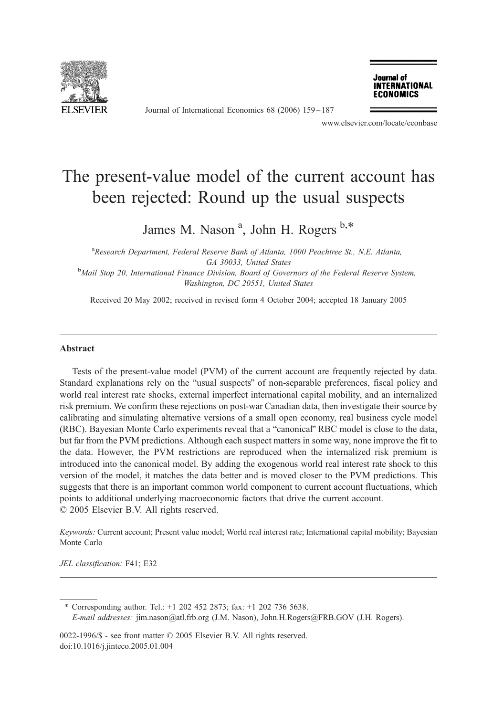

Journal of International Economics 68 (2006) 159 – 187

Journal of **INTERNATIONAL ECONOMICS** 

www.elsevier.com/locate/econbase

# The present-value model of the current account has been rejected: Round up the usual suspects

James M. Nason<sup>a</sup>, John H. Rogers b,\*

<sup>a</sup>Research Department, Federal Reserve Bank of Atlanta, 1000 Peachtree St., N.E. Atlanta, GA 30033, United States<br><sup>b</sup>Mail Stop 20, International Finance Division, Board of Governors of the Federal Reserve System, Washington, DC 20551, United States

Received 20 May 2002; received in revised form 4 October 2004; accepted 18 January 2005

#### Abstract

Tests of the present-value model (PVM) of the current account are frequently rejected by data. Standard explanations rely on the "usual suspects" of non-separable preferences, fiscal policy and world real interest rate shocks, external imperfect international capital mobility, and an internalized risk premium. We confirm these rejections on post-war Canadian data, then investigate their source by calibrating and simulating alternative versions of a small open economy, real business cycle model (RBC). Bayesian Monte Carlo experiments reveal that a "canonical" RBC model is close to the data, but far from the PVM predictions. Although each suspect matters in some way, none improve the fit to the data. However, the PVM restrictions are reproduced when the internalized risk premium is introduced into the canonical model. By adding the exogenous world real interest rate shock to this version of the model, it matches the data better and is moved closer to the PVM predictions. This suggests that there is an important common world component to current account fluctuations, which points to additional underlying macroeconomic factors that drive the current account.  $\odot$  2005 Elsevier B.V. All rights reserved.

Keywords: Current account; Present value model; World real interest rate; International capital mobility; Bayesian Monte Carlo

JEL classification: F41; E32

\* Corresponding author. Tel.: +1 202 452 2873; fax: +1 202 736 5638. E-mail addresses: jim.nason@atl.frb.org (J.M. Nason), John.H.Rogers@FRB.GOV (J.H. Rogers).

0022-1996/\$ - see front matter © 2005 Elsevier B.V. All rights reserved. doi:10.1016/j.jinteco.2005.01.004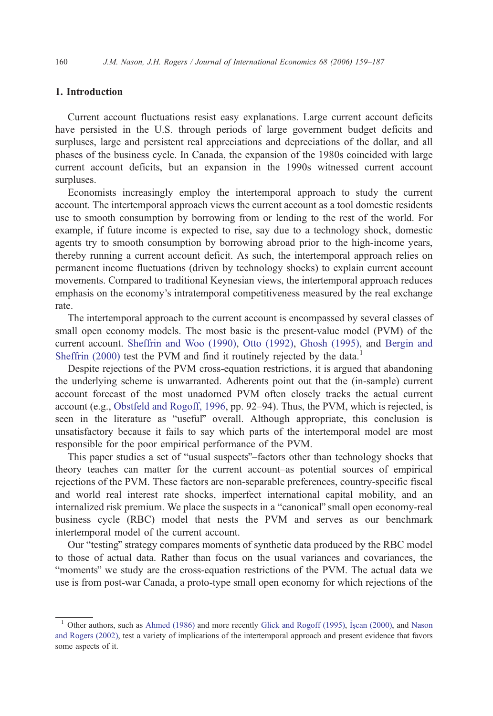# 1. Introduction

Current account fluctuations resist easy explanations. Large current account deficits have persisted in the U.S. through periods of large government budget deficits and surpluses, large and persistent real appreciations and depreciations of the dollar, and all phases of the business cycle. In Canada, the expansion of the 1980s coincided with large current account deficits, but an expansion in the 1990s witnessed current account surpluses.

Economists increasingly employ the intertemporal approach to study the current account. The intertemporal approach views the current account as a tool domestic residents use to smooth consumption by borrowing from or lending to the rest of the world. For example, if future income is expected to rise, say due to a technology shock, domestic agents try to smooth consumption by borrowing abroad prior to the high-income years, thereby running a current account deficit. As such, the intertemporal approach relies on permanent income fluctuations (driven by technology shocks) to explain current account movements. Compared to traditional Keynesian views, the intertemporal approach reduces emphasis on the economy's intratemporal competitiveness measured by the real exchange rate.

The intertemporal approach to the current account is encompassed by several classes of small open economy models. The most basic is the present-value model (PVM) of the current account. [Sheffrin and Woo \(1990\),](#page-28-0) [Otto \(1992\),](#page-28-0) [Ghosh \(1995\),](#page-27-0) and [Bergin and](#page-27-0) Sheffrin (2000) test the PVM and find it routinely rejected by the data.<sup>1</sup>

Despite rejections of the PVM cross-equation restrictions, it is argued that abandoning the underlying scheme is unwarranted. Adherents point out that the (in-sample) current account forecast of the most unadorned PVM often closely tracks the actual current account (e.g., [Obstfeld and Rogoff, 1996,](#page-28-0) pp. 92–94). Thus, the PVM, which is rejected, is seen in the literature as "useful" overall. Although appropriate, this conclusion is unsatisfactory because it fails to say which parts of the intertemporal model are most responsible for the poor empirical performance of the PVM.

This paper studies a set of "usual suspects"-factors other than technology shocks that theory teaches can matter for the current account–as potential sources of empirical rejections of the PVM. These factors are non-separable preferences, country-specific fiscal and world real interest rate shocks, imperfect international capital mobility, and an internalized risk premium. We place the suspects in a "canonical" small open economy-real business cycle (RBC) model that nests the PVM and serves as our benchmark intertemporal model of the current account.

Our "testing" strategy compares moments of synthetic data produced by the RBC model to those of actual data. Rather than focus on the usual variances and covariances, the "moments" we study are the cross-equation restrictions of the PVM. The actual data we use is from post-war Canada, a proto-type small open economy for which rejections of the

<sup>&</sup>lt;sup>1</sup> Other authors, such as [Ahmed \(1986\)](#page-27-0) and more recently [Glick and Rogoff \(1995\),](#page-27-0) Iscan (2000), and [Nason](#page-28-0) and Rogers (2002), test a variety of implications of the intertemporal approach and present evidence that favors some aspects of it.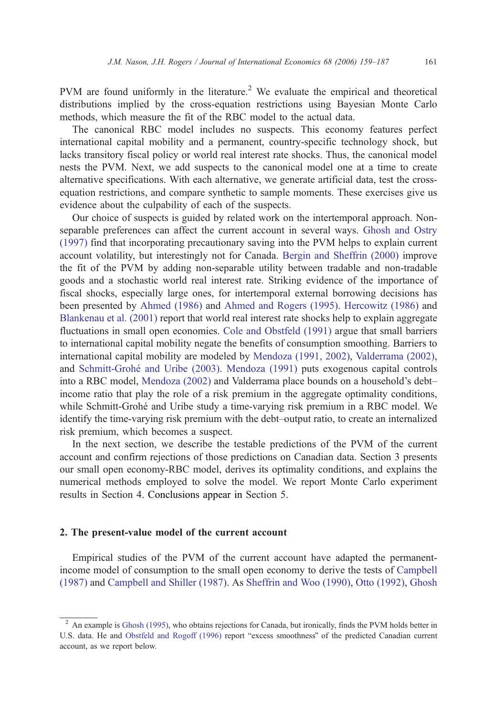PVM are found uniformly in the literature.<sup>2</sup> We evaluate the empirical and theoretical distributions implied by the cross-equation restrictions using Bayesian Monte Carlo methods, which measure the fit of the RBC model to the actual data.

The canonical RBC model includes no suspects. This economy features perfect international capital mobility and a permanent, country-specific technology shock, but lacks transitory fiscal policy or world real interest rate shocks. Thus, the canonical model nests the PVM. Next, we add suspects to the canonical model one at a time to create alternative specifications. With each alternative, we generate artificial data, test the crossequation restrictions, and compare synthetic to sample moments. These exercises give us evidence about the culpability of each of the suspects.

Our choice of suspects is guided by related work on the intertemporal approach. Nonseparable preferences can affect the current account in several ways. [Ghosh and Ostry](#page-27-0) (1997) find that incorporating precautionary saving into the PVM helps to explain current account volatility, but interestingly not for Canada. [Bergin and Sheffrin \(2000\)](#page-27-0) improve the fit of the PVM by adding non-separable utility between tradable and non-tradable goods and a stochastic world real interest rate. Striking evidence of the importance of fiscal shocks, especially large ones, for intertemporal external borrowing decisions has been presented by [Ahmed \(1986\)](#page-27-0) and [Ahmed and Rogers \(1995\).](#page-27-0) [Hercowitz \(1986\)](#page-27-0) and [Blankenau et al. \(2001\)](#page-27-0) report that world real interest rate shocks help to explain aggregate fluctuations in small open economies. [Cole and Obstfeld \(1991\)](#page-27-0) argue that small barriers to international capital mobility negate the benefits of consumption smoothing. Barriers to international capital mobility are modeled by [Mendoza \(1991, 2002\),](#page-28-0) [Valderrama \(2002\),](#page-28-0) and Schmitt-Grohé and Uribe (2003). [Mendoza \(1991\)](#page-28-0) puts exogenous capital controls into a RBC model, [Mendoza \(2002\)](#page-28-0) and Valderrama place bounds on a household's debt– income ratio that play the role of a risk premium in the aggregate optimality conditions, while Schmitt-Grohé and Uribe study a time-varying risk premium in a RBC model. We identify the time-varying risk premium with the debt–output ratio, to create an internalized risk premium, which becomes a suspect.

In the next section, we describe the testable predictions of the PVM of the current account and confirm rejections of those predictions on Canadian data. Section 3 presents our small open economy-RBC model, derives its optimality conditions, and explains the numerical methods employed to solve the model. We report Monte Carlo experiment results in Section 4. Conclusions appear in Section 5.

# 2. The present-value model of the current account

Empirical studies of the PVM of the current account have adapted the permanentincome model of consumption to the small open economy to derive the tests of [Campbell](#page-27-0) (1987) and [Campbell and Shiller \(1987\).](#page-27-0) As [Sheffrin and Woo \(1990\),](#page-28-0) [Otto \(1992\),](#page-28-0) [Ghosh](#page-27-0)

<sup>&</sup>lt;sup>2</sup> An example is [Ghosh \(1995\),](#page-27-0) who obtains rejections for Canada, but ironically, finds the PVM holds better in U.S. data. He and [Obstfeld and Rogoff \(1996\)](#page-28-0) report "excess smoothness" of the predicted Canadian current account, as we report below.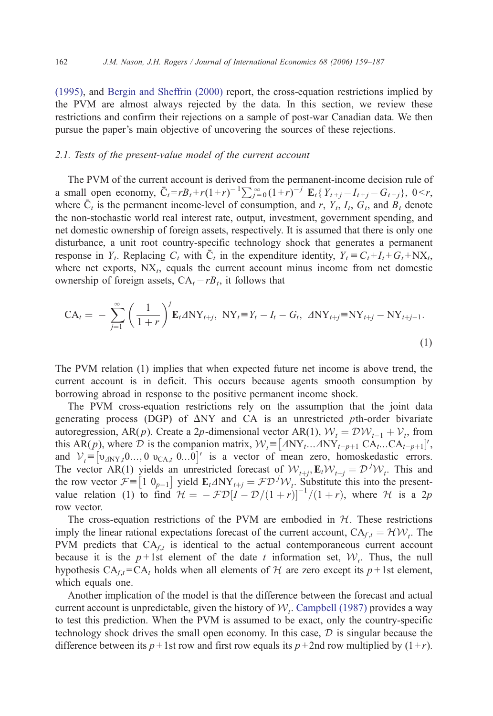(1995), and [Bergin and Sheffrin \(2000\)](#page-27-0) report, the cross-equation restrictions implied by the PVM are almost always rejected by the data. In this section, we review these restrictions and confirm their rejections on a sample of post-war Canadian data. We then pursue the paper's main objective of uncovering the sources of these rejections.

## 2.1. Tests of the present-value model of the current account

The PVM of the current account is derived from the permanent-income decision rule of a small open economy,  $\bar{C}_t = rB_t + r(1+r)^{-1} \sum_{j=0}^{\infty} (1+r)^{-j} E_t \{Y_{t+j} - I_{t+j} - G_{t+j}\}$ , 0<*r*, where  $\bar{C}_t$  is the permanent income-level of consumption, and r,  $Y_t$ ,  $I_t$ ,  $G_t$ , and  $B_t$  denote the non-stochastic world real interest rate, output, investment, government spending, and net domestic ownership of foreign assets, respectively. It is assumed that there is only one disturbance, a unit root country-specific technology shock that generates a permanent response in  $Y_t$ . Replacing  $C_t$  with  $\bar{C}_t$  in the expenditure identity,  $Y_t \equiv C_t + I_t + G_t + \text{NX}_t$ , where net exports,  $\mathbf{N} \mathbf{X}_t$ , equals the current account minus income from net domestic ownership of foreign assets,  $CA_t - rB_t$ , it follows that

$$
CA_{t} = -\sum_{j=1}^{\infty} \left(\frac{1}{1+r}\right)^{j} \mathbf{E}_{t} \Delta \mathbf{N} \mathbf{Y}_{t+j}, \ \mathbf{N} \mathbf{Y}_{t} = Y_{t} - I_{t} - G_{t}, \ \Delta \mathbf{N} \mathbf{Y}_{t+j} = \mathbf{N} \mathbf{Y}_{t+j} - \mathbf{N} \mathbf{Y}_{t+j-1}.
$$
\n(1)

The PVM relation (1) implies that when expected future net income is above trend, the current account is in deficit. This occurs because agents smooth consumption by borrowing abroad in response to the positive permanent income shock.

The PVM cross-equation restrictions rely on the assumption that the joint data generating process (DGP) of  $\Delta$ NY and CA is an unrestricted pth-order bivariate autoregression, AR(*p*). Create a 2*p*-dimensional vector AR(1),  $W_t = \mathcal{D}W_{t-1} + V_t$ , from this AR(*p*), where *D* is the companion matrix,  $W_t = [ANY_t...ANY_{t-p+1} C A_t...C A_{t-p+1}]'$ , and  $V_t = [v_{ANY,t}0..., 0, v_{CA,t}, 0...]'$  is a vector of mean zero, homoskedastic errors. The vector AR(1) yields an unrestricted forecast of  $W_{t+j}$ ,  $\mathbf{E}_t W_{t+j} = \mathcal{D}^j W_t$ . This and the row vector  $\mathcal{F} = \begin{bmatrix} 1 & 0_{p-1} \end{bmatrix}$  yield  $\mathbf{E}_t \Delta N Y_{t+j} = \mathcal{F} D^j W_t$ . Substitute this into the presentvalue relation (1) to find  $\mathcal{H} = -\mathcal{FD}[I - \mathcal{D}/(1+r)]^{-1}/(1+r)$ , where  $\mathcal{H}$  is a 2p row vector.

The cross-equation restrictions of the PVM are embodied in  $H$ . These restrictions imply the linear rational expectations forecast of the current account,  $CA_{f,t} = \mathcal{HW}_t$ . The PVM predicts that  $CA_{f,t}$  is identical to the actual contemporaneous current account because it is the  $p+1$ st element of the date t information set,  $W_t$ . Thus, the null hypothesis  $CA_{f,t} = CA_t$  holds when all elements of H are zero except its  $p + 1$ st element, which equals one.

Another implication of the model is that the difference between the forecast and actual current account is unpredictable, given the history of  $W_t$ . [Campbell \(1987\)](#page-27-0) provides a way to test this prediction. When the PVM is assumed to be exact, only the country-specific technology shock drives the small open economy. In this case,  $D$  is singular because the difference between its  $p + 1$ st row and first row equals its  $p + 2$ nd row multiplied by  $(1 + r)$ .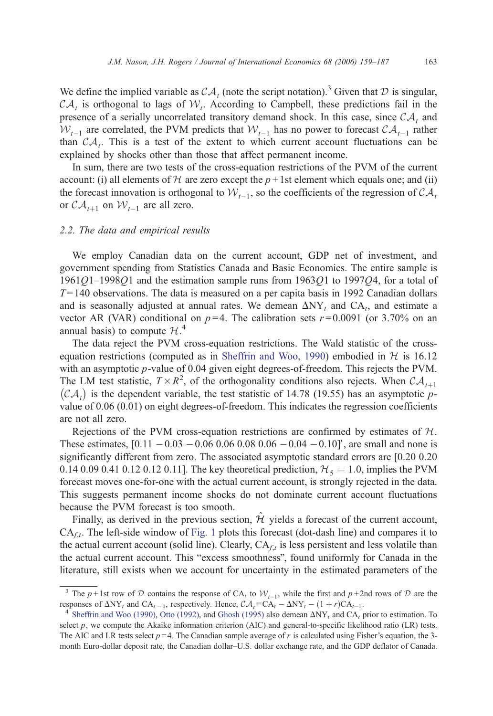We define the implied variable as  $CA$ , (note the script notation).<sup>3</sup> Given that D is singular,  $CA<sub>t</sub>$  is orthogonal to lags of  $W<sub>t</sub>$ . According to Campbell, these predictions fail in the presence of a serially uncorrelated transitory demand shock. In this case, since  $CA$ , and  $W_{t-1}$  are correlated, the PVM predicts that  $W_{t-1}$  has no power to forecast  $CA_{t-1}$  rather than  $CA_t$ . This is a test of the extent to which current account fluctuations can be explained by shocks other than those that affect permanent income.

In sum, there are two tests of the cross-equation restrictions of the PVM of the current account: (i) all elements of  $H$  are zero except the  $p + 1$ st element which equals one; and (ii) the forecast innovation is orthogonal to  $W_{t-1}$ , so the coefficients of the regression of  $CA_t$ or  $\mathcal{CA}_{t+1}$  on  $\mathcal{W}_{t-1}$  are all zero.

## 2.2. The data and empirical results

We employ Canadian data on the current account, GDP net of investment, and government spending from Statistics Canada and Basic Economics. The entire sample is 1961Q1–1998Q1 and the estimation sample runs from 1963Q1 to 1997Q4, for a total of  $T = 140$  observations. The data is measured on a per capita basis in 1992 Canadian dollars and is seasonally adjusted at annual rates. We demean  $\Delta NY_t$  and  $CA_t$ , and estimate a vector AR (VAR) conditional on  $p=4$ . The calibration sets  $r=0.0091$  (or 3.70% on an annual basis) to compute  $\mathcal{H}$ <sup>4</sup>

The data reject the PVM cross-equation restrictions. The Wald statistic of the cross-equation restrictions (computed as in [Sheffrin and Woo, 1990\)](#page-28-0) embodied in  $H$  is 16.12 with an asymptotic  $p$ -value of 0.04 given eight degrees-of-freedom. This rejects the PVM. The LM test statistic,  $T \times R^2$ , of the orthogonality conditions also rejects. When  $\mathcal{CA}_{t+1}$  $(CA_t)$  is the dependent variable, the test statistic of 14.78 (19.55) has an asymptotic pvalue of 0.06 (0.01) on eight degrees-of-freedom. This indicates the regression coefficients are not all zero.

Rejections of the PVM cross-equation restrictions are confirmed by estimates of  $H$ . These estimates,  $[0.11 - 0.03 - 0.06 \, 0.06 \, 0.08 \, 0.06 - 0.04 - 0.10]$ , are small and none is significantly different from zero. The associated asymptotic standard errors are [0.20 0.20 0.14 0.09 0.41 0.12 0.12 0.11]. The key theoretical prediction,  $H_5 = 1.0$ , implies the PVM forecast moves one-for-one with the actual current account, is strongly rejected in the data. This suggests permanent income shocks do not dominate current account fluctuations because the PVM forecast is too smooth.

Finally, as derived in the previous section,  $H$  yields a forecast of the current account,  $CA_{f,t}$ . The left-side window of [Fig. 1](#page-5-0) plots this forecast (dot-dash line) and compares it to the actual current account (solid line). Clearly,  $CA_{f,t}$  is less persistent and less volatile than the actual current account. This "excess smoothness", found uniformly for Canada in the literature, still exists when we account for uncertainty in the estimated parameters of the

<sup>&</sup>lt;sup>3</sup> The *p* + 1st row of *D* contains the response of CA<sub>t</sub> to  $W_{t-1}$ , while the first and *p* + 2nd rows of *D* are the responses of  $\Delta N Y_t$  and  $CA_{t-1}$ , respectively. Hence,  $CA_t = CA_t - \Delta N Y_t - (1 + r)CA_{t-1}$ .

<sup>&</sup>lt;sup>4</sup> [Sheffrin and Woo \(1990\),](#page-28-0) [Otto \(1992\),](#page-28-0) and [Ghosh \(1995\)](#page-27-0) also demean  $\Delta$ NY<sub>t</sub> and CA<sub>t</sub> prior to estimation. To select  $p$ , we compute the Akaike information criterion (AIC) and general-to-specific likelihood ratio (LR) tests. The AIC and LR tests select  $p=4$ . The Canadian sample average of r is calculated using Fisher's equation, the 3month Euro-dollar deposit rate, the Canadian dollar–U.S. dollar exchange rate, and the GDP deflator of Canada.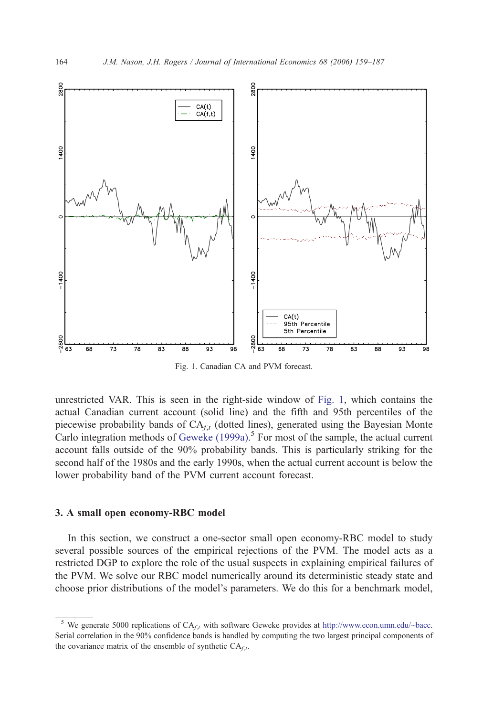<span id="page-5-0"></span>

Fig. 1. Canadian CA and PVM forecast.

unrestricted VAR. This is seen in the right-side window of Fig. 1, which contains the actual Canadian current account (solid line) and the fifth and 95th percentiles of the piecewise probability bands of  $CA<sub>ft</sub>$  (dotted lines), generated using the Bayesian Monte Carlo integration methods of [Geweke \(1999a\).](#page-27-0) <sup>5</sup> For most of the sample, the actual current account falls outside of the 90% probability bands. This is particularly striking for the second half of the 1980s and the early 1990s, when the actual current account is below the lower probability band of the PVM current account forecast.

#### 3. A small open economy-RBC model

In this section, we construct a one-sector small open economy-RBC model to study several possible sources of the empirical rejections of the PVM. The model acts as a restricted DGP to explore the role of the usual suspects in explaining empirical failures of the PVM. We solve our RBC model numerically around its deterministic steady state and choose prior distributions of the model's parameters. We do this for a benchmark model,

<sup>&</sup>lt;sup>5</sup> We generate 5000 replications of  $CA<sub>fx</sub>$  with software Geweke provides at [http://www.econ.umn.edu/~bacc.]( http:\\www.econ.umn.edu\(bacc ) Serial correlation in the 90% confidence bands is handled by computing the two largest principal components of the covariance matrix of the ensemble of synthetic  $CA_{f,t}$ .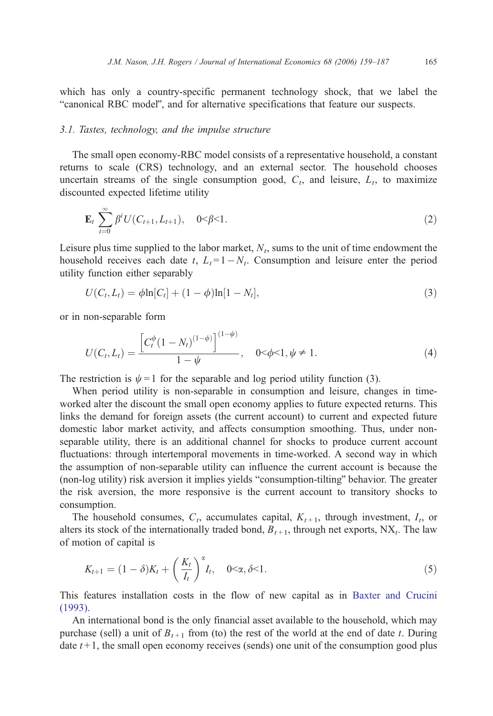which has only a country-specific permanent technology shock, that we label the "canonical RBC model", and for alternative specifications that feature our suspects.

## 3.1. Tastes, technology, and the impulse structure

The small open economy-RBC model consists of a representative household, a constant returns to scale (CRS) technology, and an external sector. The household chooses uncertain streams of the single consumption good,  $C_t$ , and leisure,  $L_t$ , to maximize discounted expected lifetime utility

$$
\mathbf{E}_{t} \sum_{i=0}^{\infty} \beta^{i} U(C_{t+1}, L_{t+1}), \quad 0 < \beta < 1.
$$
 (2)

Leisure plus time supplied to the labor market,  $N_t$ , sums to the unit of time endowment the household receives each date t,  $L_t = 1 - N_t$ . Consumption and leisure enter the period utility function either separably

$$
U(C_t, L_t) = \phi \ln[C_t] + (1 - \phi) \ln[1 - N_t],
$$
\n(3)

or in non-separable form

$$
U(C_t, L_t) = \frac{\left[C_t^{\phi}(1 - N_t)^{(1 - \phi)}\right]^{(1 - \psi)}}{1 - \psi}, \quad 0 < \phi < 1, \psi \neq 1.
$$
 (4)

The restriction is  $\psi = 1$  for the separable and log period utility function (3).

When period utility is non-separable in consumption and leisure, changes in timeworked alter the discount the small open economy applies to future expected returns. This links the demand for foreign assets (the current account) to current and expected future domestic labor market activity, and affects consumption smoothing. Thus, under nonseparable utility, there is an additional channel for shocks to produce current account fluctuations: through intertemporal movements in time-worked. A second way in which the assumption of non-separable utility can influence the current account is because the (non-log utility) risk aversion it implies yields "consumption-tilting" behavior. The greater the risk aversion, the more responsive is the current account to transitory shocks to consumption.

The household consumes,  $C_t$ , accumulates capital,  $K_{t+1}$ , through investment,  $I_t$ , or alters its stock of the internationally traded bond,  $B_{t+1}$ , through net exports, NX<sub>t</sub>. The law of motion of capital is

$$
K_{t+1} = (1 - \delta)K_t + \left(\frac{K_t}{I_t}\right)^{\alpha} I_t, \quad 0 < \alpha, \delta < 1.
$$
 (5)

This features installation costs in the flow of new capital as in [Baxter and Crucini](#page-27-0) (1993).

An international bond is the only financial asset available to the household, which may purchase (sell) a unit of  $B_{t+1}$  from (to) the rest of the world at the end of date t. During date  $t + 1$ , the small open economy receives (sends) one unit of the consumption good plus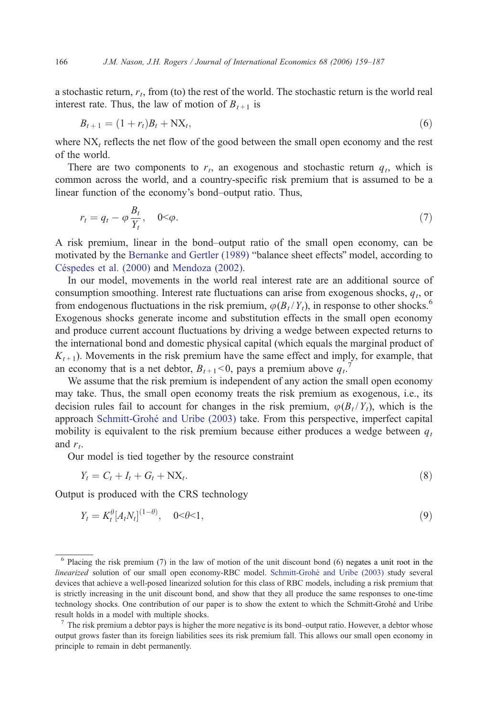a stochastic return,  $r_t$ , from (to) the rest of the world. The stochastic return is the world real interest rate. Thus, the law of motion of  $B_{t+1}$  is

$$
B_{t+1} = (1 + r_t)B_t + \mathbf{N}X_t, \tag{6}
$$

where  $NX_t$ , reflects the net flow of the good between the small open economy and the rest of the world.

There are two components to  $r_t$ , an exogenous and stochastic return  $q_t$ , which is common across the world, and a country-specific risk premium that is assumed to be a linear function of the economy's bond–output ratio. Thus,

$$
r_t = q_t - \varphi \frac{B_t}{Y_t}, \quad 0 \le \varphi. \tag{7}
$$

A risk premium, linear in the bond–output ratio of the small open economy, can be motivated by the [Bernanke and Gertler \(1989\)](#page-27-0) "balance sheet effects" model, according to Céspedes et al. (2000) and [Mendoza \(2002\).](#page-28-0)

In our model, movements in the world real interest rate are an additional source of consumption smoothing. Interest rate fluctuations can arise from exogenous shocks,  $q_t$ , or from endogenous fluctuations in the risk premium,  $\varphi(B_t/Y_t)$ , in response to other shocks.<sup>6</sup> Exogenous shocks generate income and substitution effects in the small open economy and produce current account fluctuations by driving a wedge between expected returns to the international bond and domestic physical capital (which equals the marginal product of  $K_{t+1}$ ). Movements in the risk premium have the same effect and imply, for example, that an economy that is a net debtor,  $B_{t+1} < 0$ , pays a premium above  $q_t^{\dagger}$ 

We assume that the risk premium is independent of any action the small open economy may take. Thus, the small open economy treats the risk premium as exogenous, i.e., its decision rules fail to account for changes in the risk premium,  $\varphi(B_t/Y_t)$ , which is the approach [Schmitt-Grohe´ and Uribe \(2003\)](#page-28-0) take. From this perspective, imperfect capital mobility is equivalent to the risk premium because either produces a wedge between  $q_t$ and  $r_t$ .

Our model is tied together by the resource constraint

$$
Y_t = C_t + I_t + G_t + \mathbf{N}X_t. \tag{8}
$$

Output is produced with the CRS technology

$$
Y_t = K_t^{\theta} [A_t N_t]^{(1-\theta)}, \quad 0 < \theta < 1,
$$
\n(9)

<sup>6</sup> Placing the risk premium (7) in the law of motion of the unit discount bond (6) negates a unit root in the linearized solution of our small open economy-RBC model. Schmitt-Grohé and Uribe (2003) study several devices that achieve a well-posed linearized solution for this class of RBC models, including a risk premium that is strictly increasing in the unit discount bond, and show that they all produce the same responses to one-time technology shocks. One contribution of our paper is to show the extent to which the Schmitt-Grohe´ and Uribe result holds in a model with multiple shocks.

 $7$  The risk premium a debtor pays is higher the more negative is its bond–output ratio. However, a debtor whose output grows faster than its foreign liabilities sees its risk premium fall. This allows our small open economy in principle to remain in debt permanently.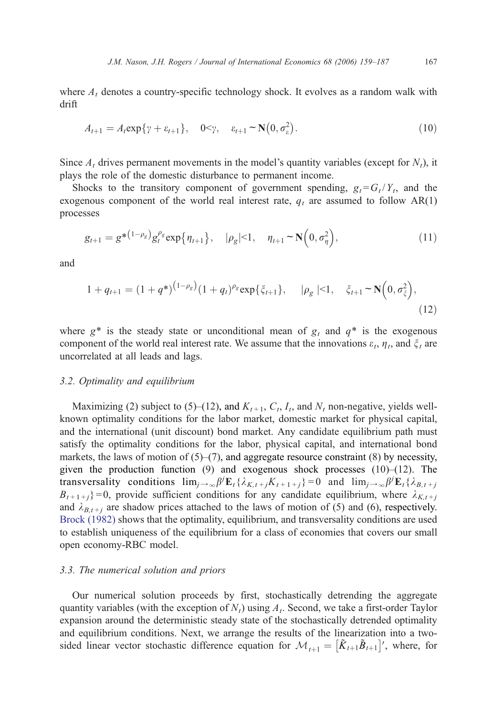where  $A_t$  denotes a country-specific technology shock. It evolves as a random walk with drift

$$
A_{t+1} = A_t \exp\{\gamma + \varepsilon_{t+1}\}, \quad 0 < \gamma, \quad \varepsilon_{t+1} \sim \mathbf{N}\big(0, \sigma_\varepsilon^2\big). \tag{10}
$$

Since  $A_t$  drives permanent movements in the model's quantity variables (except for  $N_t$ ), it plays the role of the domestic disturbance to permanent income.

Shocks to the transitory component of government spending,  $g_t = G_t / Y_t$ , and the exogenous component of the world real interest rate,  $q_t$  are assumed to follow AR(1) processes

$$
g_{t+1} = g^{*(1-\rho_g)} g_t^{\rho_g} \exp{\{\eta_{t+1}\}}, \quad |\rho_g| < 1, \quad \eta_{t+1} \sim \mathbf{N}\Big(0, \sigma_\eta^2\Big), \tag{11}
$$

and

$$
1 + q_{t+1} = (1 + q^*)^{(1-\rho_g)}(1+q_t)^{\rho_g} \exp{\{\xi_{t+1}\}}, \quad |\rho_g| < 1, \quad \xi_{t+1} \sim \mathbf{N}\Big(0, \sigma_{\xi}^2\Big),\tag{12}
$$

where  $g^*$  is the steady state or unconditional mean of  $g_t$  and  $q^*$  is the exogenous component of the world real interest rate. We assume that the innovations  $\varepsilon_t$ ,  $\eta_t$ , and  $\xi_t$  are uncorrelated at all leads and lags.

### 3.2. Optimality and equilibrium

Maximizing (2) subject to (5)–(12), and  $K_{t+1}$ ,  $C_t$ ,  $I_t$ , and  $N_t$  non-negative, yields wellknown optimality conditions for the labor market, domestic market for physical capital, and the international (unit discount) bond market. Any candidate equilibrium path must satisfy the optimality conditions for the labor, physical capital, and international bond markets, the laws of motion of  $(5)$ – $(7)$ , and aggregate resource constraint  $(8)$  by necessity, given the production function  $(9)$  and exogenous shock processes  $(10)$ – $(12)$ . The transversality conditions  $\lim_{j\to\infty} \beta^j \mathbf{E}_t\{\lambda_{K,t+j}K_{t+1+j}\} = 0$  and  $\lim_{j\to\infty} \beta^j \mathbf{E}_t\{\lambda_{B,t+j}$  $B_{t+1+j}$  = 0, provide sufficient conditions for any candidate equilibrium, where  $\lambda_{K,t+j}$ and  $\lambda_{B,t+j}$  are shadow prices attached to the laws of motion of (5) and (6), respectively. [Brock \(1982\)](#page-27-0) shows that the optimality, equilibrium, and transversality conditions are used to establish uniqueness of the equilibrium for a class of economies that covers our small open economy-RBC model.

#### 3.3. The numerical solution and priors

Our numerical solution proceeds by first, stochastically detrending the aggregate quantity variables (with the exception of  $N_t$ ) using  $A_t$ . Second, we take a first-order Taylor expansion around the deterministic steady state of the stochastically detrended optimality and equilibrium conditions. Next, we arrange the results of the linearization into a twosided linear vector stochastic difference equation for  $\mathcal{M}_{t+1} = [\tilde{K}_{t+1}\tilde{B}_{t+1}]'$ , where, for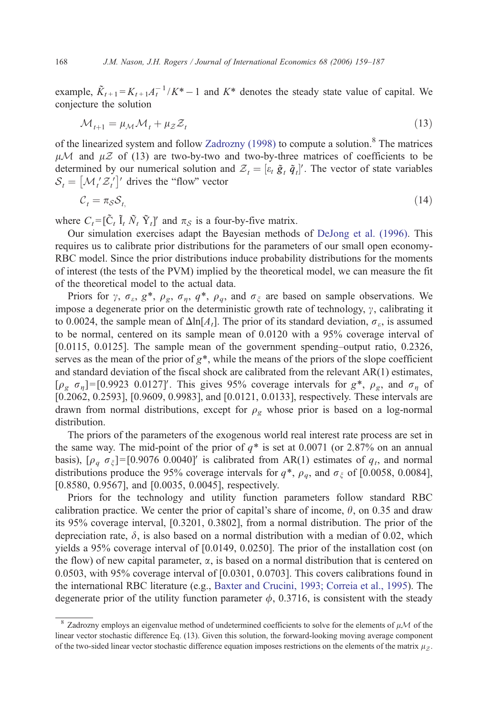example,  $\tilde{K}_{t+1} = K_{t+1}A_t^{-1}/K^* - 1$  and  $K^*$  denotes the steady state value of capital. We conjecture the solution

$$
\mathcal{M}_{t+1} = \mu_{\mathcal{M}} \mathcal{M}_t + \mu_{\mathcal{Z}} \mathcal{Z}_t \tag{13}
$$

of the linearized system and follow [Zadrozny \(1998\)](#page-28-0) to compute a solution.<sup>8</sup> The matrices  $\mu$ M and  $\mu$ Z of (13) are two-by-two and two-by-three matrices of coefficients to be determined by our numerical solution and  $\mathcal{Z}_t = [\varepsilon_t \tilde{g}_t \tilde{q}_t]'$ . The vector of state variables  $S_t = [\mathcal{M}_t' \mathcal{Z}_t']'$  drives the "flow" vector

$$
C_t = \pi_S S_{t,}
$$
\n<sup>(14)</sup>

where  $C_t = [\tilde{C}_t \tilde{I}_t \tilde{N}_t \tilde{Y}_t]'$  and  $\pi_S$  is a four-by-five matrix.

Our simulation exercises adapt the Bayesian methods of [DeJong et al. \(1996\).](#page-27-0) This requires us to calibrate prior distributions for the parameters of our small open economy-RBC model. Since the prior distributions induce probability distributions for the moments of interest (the tests of the PVM) implied by the theoretical model, we can measure the fit of the theoretical model to the actual data.

Priors for  $\gamma$ ,  $\sigma_{\varepsilon}$ ,  $g^*$ ,  $\rho_g$ ,  $\sigma_{\eta}$ ,  $q^*$ ,  $\rho_g$ , and  $\sigma_{\xi}$  are based on sample observations. We impose a degenerate prior on the deterministic growth rate of technology,  $\gamma$ , calibrating it to 0.0024, the sample mean of  $\Delta \ln[A_t]$ . The prior of its standard deviation,  $\sigma_{\varepsilon}$ , is assumed to be normal, centered on its sample mean of 0.0120 with a 95% coverage interval of [0.0115, 0.0125]. The sample mean of the government spending–output ratio, 0.2326, serves as the mean of the prior of  $g^*$ , while the means of the priors of the slope coefficient and standard deviation of the fiscal shock are calibrated from the relevant  $AR(1)$  estimates,  $[\rho_g \ \sigma_\eta]$ =[0.9923 0.0127]'. This gives 95% coverage intervals for g<sup>\*</sup>,  $\rho_g$ , and  $\sigma_\eta$  of [0.2062, 0.2593], [0.9609, 0.9983], and [0.0121, 0.0133], respectively. These intervals are drawn from normal distributions, except for  $\rho_g$  whose prior is based on a log-normal distribution.

The priors of the parameters of the exogenous world real interest rate process are set in the same way. The mid-point of the prior of  $q^*$  is set at 0.0071 (or 2.87% on an annual basis),  $[\rho_q \ \sigma_{\xi}] = [0.9076 \ 0.0040]$ ' is calibrated from AR(1) estimates of  $q_t$ , and normal distributions produce the 95% coverage intervals for  $q^*$ ,  $\rho_q$ , and  $\sigma_{\xi}$  of [0.0058, 0.0084], [0.8580, 0.9567], and [0.0035, 0.0045], respectively.

Priors for the technology and utility function parameters follow standard RBC calibration practice. We center the prior of capital's share of income,  $\theta$ , on 0.35 and draw its 95% coverage interval, [0.3201, 0.3802], from a normal distribution. The prior of the depreciation rate,  $\delta$ , is also based on a normal distribution with a median of 0.02, which yields a 95% coverage interval of [0.0149, 0.0250]. The prior of the installation cost (on the flow) of new capital parameter,  $\alpha$ , is based on a normal distribution that is centered on 0.0503, with 95% coverage interval of [0.0301, 0.0703]. This covers calibrations found in the international RBC literature (e.g., [Baxter and Crucini, 1993; Correia et al., 1995\)](#page-27-0). The degenerate prior of the utility function parameter  $\phi$ , 0.3716, is consistent with the steady

<sup>&</sup>lt;sup>8</sup> Zadrozny employs an eigenvalue method of undetermined coefficients to solve for the elements of  $\mu$ M of the linear vector stochastic difference Eq. (13). Given this solution, the forward-looking moving average component of the two-sided linear vector stochastic difference equation imposes restrictions on the elements of the matrix  $\mu_z$ .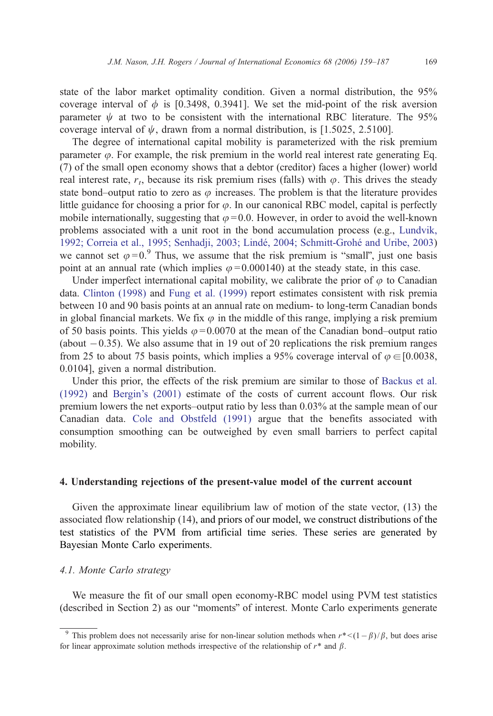state of the labor market optimality condition. Given a normal distribution, the 95% coverage interval of  $\phi$  is [0.3498, 0.3941]. We set the mid-point of the risk aversion parameter  $\psi$  at two to be consistent with the international RBC literature. The 95% coverage interval of  $\psi$ , drawn from a normal distribution, is [1.5025, 2.5100].

The degree of international capital mobility is parameterized with the risk premium parameter  $\varphi$ . For example, the risk premium in the world real interest rate generating Eq. (7) of the small open economy shows that a debtor (creditor) faces a higher (lower) world real interest rate,  $r_t$ , because its risk premium rises (falls) with  $\varphi$ . This drives the steady state bond–output ratio to zero as  $\varphi$  increases. The problem is that the literature provides little guidance for choosing a prior for  $\varphi$ . In our canonical RBC model, capital is perfectly mobile internationally, suggesting that  $\varphi = 0.0$ . However, in order to avoid the well-known problems associated with a unit root in the bond accumulation process (e.g., [Lundvik,](#page-28-0) 1992; Correia et al., 1995; Senhadji, 2003; Linde´, 2004; Schmitt-Grohe´ and Uribe, 2003) we cannot set  $\varphi = 0.9$  Thus, we assume that the risk premium is "small", just one basis point at an annual rate (which implies  $\varphi = 0.000140$ ) at the steady state, in this case.

Under imperfect international capital mobility, we calibrate the prior of  $\varphi$  to Canadian data. [Clinton \(1998\)](#page-27-0) and [Fung et al. \(1999\)](#page-27-0) report estimates consistent with risk premia between 10 and 90 basis points at an annual rate on medium- to long-term Canadian bonds in global financial markets. We fix  $\varphi$  in the middle of this range, implying a risk premium of 50 basis points. This yields  $\varphi = 0.0070$  at the mean of the Canadian bond–output ratio (about  $-0.35$ ). We also assume that in 19 out of 20 replications the risk premium ranges from 25 to about 75 basis points, which implies a 95% coverage interval of  $\varphi \in [0.0038,$ 0.0104], given a normal distribution.

Under this prior, the effects of the risk premium are similar to those of [Backus et al.](#page-27-0) (1992) and [Bergin's \(2001\)](#page-27-0) estimate of the costs of current account flows. Our risk premium lowers the net exports–output ratio by less than 0.03% at the sample mean of our Canadian data. [Cole and Obstfeld \(1991\)](#page-27-0) argue that the benefits associated with consumption smoothing can be outweighed by even small barriers to perfect capital mobility.

# 4. Understanding rejections of the present-value model of the current account

Given the approximate linear equilibrium law of motion of the state vector, (13) the associated flow relationship (14), and priors of our model, we construct distributions of the test statistics of the PVM from artificial time series. These series are generated by Bayesian Monte Carlo experiments.

# 4.1. Monte Carlo strategy

We measure the fit of our small open economy-RBC model using PVM test statistics (described in Section 2) as our "moments" of interest. Monte Carlo experiments generate

<sup>&</sup>lt;sup>9</sup> This problem does not necessarily arise for non-linear solution methods when  $r^* < (1 - \beta)/\beta$ , but does arise for linear approximate solution methods irrespective of the relationship of  $r^*$  and  $\beta$ .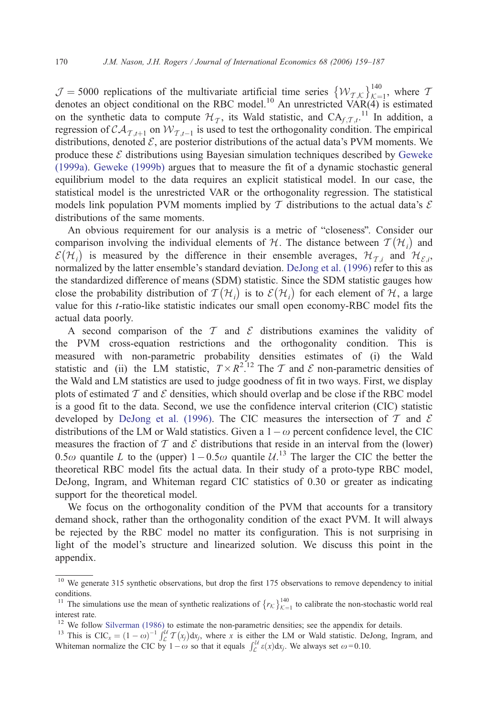$J = 5000$  replications of the multivariate artificial time series  $\{W_{\mathcal{T},\mathcal{K}}\}_{\mathcal{K}=1}^{140}$ , where T denotes an object conditional on the RBC model.<sup>10</sup> An unrestricted  $VAR(4)$  is estimated on the synthetic data to compute  $\mathcal{H}_T$ , its Wald statistic, and  $CA_{f,T,t}$ .<sup>11</sup> In addition, a regression of  $CA_{T,t+1}$  on  $W_{T,t-1}$  is used to test the orthogonality condition. The empirical distributions, denoted  $\mathcal{E}$ , are posterior distributions of the actual data's PVM moments. We produce these  $\mathcal E$  distributions using Bayesian simulation techniques described by [Geweke](#page-27-0) (1999a). [Geweke \(1999b\)](#page-27-0) argues that to measure the fit of a dynamic stochastic general equilibrium model to the data requires an explicit statistical model. In our case, the statistical model is the unrestricted VAR or the orthogonality regression. The statistical models link population PVM moments implied by T distributions to the actual data's  $\mathcal E$ distributions of the same moments.

An obvious requirement for our analysis is a metric of "closeness". Consider our comparison involving the individual elements of  $H$ . The distance between  $T(\mathcal{H}_i)$  and  $\mathcal{E}(\mathcal{H}_i)$  is measured by the difference in their ensemble averages,  $\mathcal{H}_{T,i}$  and  $\mathcal{H}_{\varepsilon,i}$ , normalized by the latter ensemble's standard deviation. [DeJong et al. \(1996\)](#page-27-0) refer to this as the standardized difference of means (SDM) statistic. Since the SDM statistic gauges how close the probability distribution of  $T(\mathcal{H}_i)$  is to  $\mathcal{E}(\mathcal{H}_i)$  for each element of  $\mathcal{H}_i$ , a large value for this t-ratio-like statistic indicates our small open economy-RBC model fits the actual data poorly.

A second comparison of the  $T$  and  $\mathcal E$  distributions examines the validity of the PVM cross-equation restrictions and the orthogonality condition. This is measured with non-parametric probability densities estimates of (i) the Wald statistic and (ii) the LM statistic,  $T \times R^{2.12}$  The T and E non-parametric densities of the Wald and LM statistics are used to judge goodness of fit in two ways. First, we display plots of estimated T and E densities, which should overlap and be close if the RBC model is a good fit to the data. Second, we use the confidence interval criterion (CIC) statistic developed by [DeJong et al. \(1996\).](#page-27-0) The CIC measures the intersection of T and  $\mathcal E$ distributions of the LM or Wald statistics. Given a  $1-\omega$  percent confidence level, the CIC measures the fraction of  $T$  and  $\mathcal E$  distributions that reside in an interval from the (lower) 0.5 $\omega$  quantile L to the (upper)  $1-0.5\omega$  quantile  $\mathcal{U}^{13}$ . The larger the CIC the better the theoretical RBC model fits the actual data. In their study of a proto-type RBC model, DeJong, Ingram, and Whiteman regard CIC statistics of 0.30 or greater as indicating support for the theoretical model.

We focus on the orthogonality condition of the PVM that accounts for a transitory demand shock, rather than the orthogonality condition of the exact PVM. It will always be rejected by the RBC model no matter its configuration. This is not surprising in light of the model's structure and linearized solution. We discuss this point in the appendix.

<sup>&</sup>lt;sup>10</sup> We generate 315 synthetic observations, but drop the first 175 observations to remove dependency to initial conditions.

<sup>&</sup>lt;sup>11</sup> The simulations use the mean of synthetic realizations of  ${r<sub>K</sub>}^{140}_{K=1}$  to calibrate the non-stochastic world real interest rate.

<sup>&</sup>lt;sup>12</sup> We follow [Silverman \(1986\)](#page-28-0) to estimate the non-parametric densities; see the appendix for details.

<sup>&</sup>lt;sup>13</sup> This is CIC<sub>x</sub> =  $(1 - \omega)^{-1} \int_{\mathcal{L}}^{\mathcal{U}} T(x_j) dx_j$ , where x is either the LM or Wald statistic. DeJong, Ingram, and Whiteman normalize the CIC by  $1-\omega$  so that it equals  $\int_{\mathcal{L}}^{U} \varepsilon(x) dx_j$ . We always set  $\omega = 0.10$ .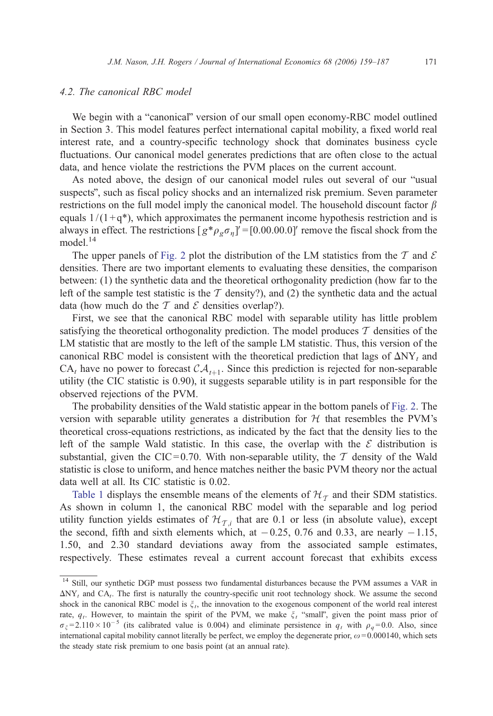# 4.2. The canonical RBC model

We begin with a "canonical" version of our small open economy-RBC model outlined in Section 3. This model features perfect international capital mobility, a fixed world real interest rate, and a country-specific technology shock that dominates business cycle fluctuations. Our canonical model generates predictions that are often close to the actual data, and hence violate the restrictions the PVM places on the current account.

As noted above, the design of our canonical model rules out several of our "usual suspects", such as fiscal policy shocks and an internalized risk premium. Seven parameter restrictions on the full model imply the canonical model. The household discount factor  $\beta$ equals  $1/(1 + q^*)$ , which approximates the permanent income hypothesis restriction and is always in effect. The restrictions  $[g^*\rho_\varrho\sigma_\eta]'=[0.00.00.0']$  remove the fiscal shock from the model. $14$ 

The upper panels of [Fig. 2](#page-13-0) plot the distribution of the LM statistics from the  $T$  and  $\mathcal E$ densities. There are two important elements to evaluating these densities, the comparison between: (1) the synthetic data and the theoretical orthogonality prediction (how far to the left of the sample test statistic is the  $\mathcal T$  density?), and (2) the synthetic data and the actual data (how much do the  $T$  and  $\mathcal E$  densities overlap?).

First, we see that the canonical RBC model with separable utility has little problem satisfying the theoretical orthogonality prediction. The model produces  $\mathcal T$  densities of the LM statistic that are mostly to the left of the sample LM statistic. Thus, this version of the canonical RBC model is consistent with the theoretical prediction that lags of  $\Delta NY_t$  and CA<sub>t</sub> have no power to forecast  $CA_{t+1}$ . Since this prediction is rejected for non-separable utility (the CIC statistic is 0.90), it suggests separable utility is in part responsible for the observed rejections of the PVM.

The probability densities of the Wald statistic appear in the bottom panels of [Fig. 2.](#page-13-0) The version with separable utility generates a distribution for  $H$  that resembles the PVM's theoretical cross-equations restrictions, as indicated by the fact that the density lies to the left of the sample Wald statistic. In this case, the overlap with the  $\mathcal E$  distribution is substantial, given the CIC = 0.70. With non-separable utility, the  $T$  density of the Wald statistic is close to uniform, and hence matches neither the basic PVM theory nor the actual data well at all. Its CIC statistic is 0.02.

[Table 1](#page-14-0) displays the ensemble means of the elements of  $\mathcal{H}_{\tau}$  and their SDM statistics. As shown in column 1, the canonical RBC model with the separable and log period utility function yields estimates of  $\mathcal{H}_{\tau}$ ; that are 0.1 or less (in absolute value), except the second, fifth and sixth elements which, at  $-0.25$ , 0.76 and 0.33, are nearly  $-1.15$ , 1.50, and 2.30 standard deviations away from the associated sample estimates, respectively. These estimates reveal a current account forecast that exhibits excess

<sup>&</sup>lt;sup>14</sup> Still, our synthetic DGP must possess two fundamental disturbances because the PVM assumes a VAR in  $\Delta$ NY<sub>t</sub> and CA<sub>t</sub>. The first is naturally the country-specific unit root technology shock. We assume the second shock in the canonical RBC model is  $\xi_i$ , the innovation to the exogenous component of the world real interest rate,  $q_t$ . However, to maintain the spirit of the PVM, we make  $\xi_t$  "small", given the point mass prior of  $\sigma_{\xi}$  = 2.110 × 10<sup>-5</sup> (its calibrated value is 0.004) and eliminate persistence in  $q_t$  with  $\rho_q$  = 0.0. Also, since international capital mobility cannot literally be perfect, we employ the degenerate prior,  $\omega$  = 0.000140, which sets the steady state risk premium to one basis point (at an annual rate).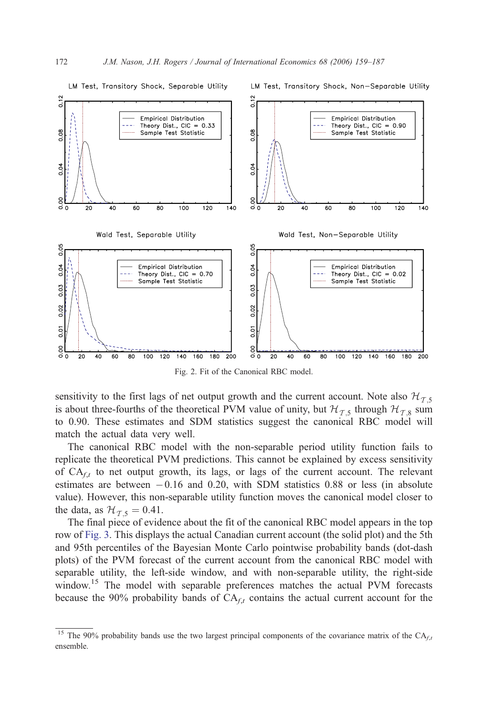

Fig. 2. Fit of the Canonical RBC model.

sensitivity to the first lags of net output growth and the current account. Note also  $\mathcal{H}_{\tau,5}$ is about three-fourths of the theoretical PVM value of unity, but  $\mathcal{H}_{\tau}$ , through  $\mathcal{H}_{\tau}$  sum to 0.90. These estimates and SDM statistics suggest the canonical RBC model will match the actual data very well.

The canonical RBC model with the non-separable period utility function fails to replicate the theoretical PVM predictions. This cannot be explained by excess sensitivity of  $CA_{f,t}$  to net output growth, its lags, or lags of the current account. The relevant estimates are between  $-0.16$  and 0.20, with SDM statistics 0.88 or less (in absolute value). However, this non-separable utility function moves the canonical model closer to the data, as  $\mathcal{H}_{\mathcal{TS}} = 0.41$ .

The final piece of evidence about the fit of the canonical RBC model appears in the top row of [Fig. 3.](#page-15-0) This displays the actual Canadian current account (the solid plot) and the 5th and 95th percentiles of the Bayesian Monte Carlo pointwise probability bands (dot-dash plots) of the PVM forecast of the current account from the canonical RBC model with separable utility, the left-side window, and with non-separable utility, the right-side window.<sup>15</sup> The model with separable preferences matches the actual PVM forecasts because the 90% probability bands of  $CA_{f,t}$  contains the actual current account for the

<span id="page-13-0"></span>

The 90% probability bands use the two largest principal components of the covariance matrix of the  $CA<sub>rf</sub>$ . ensemble.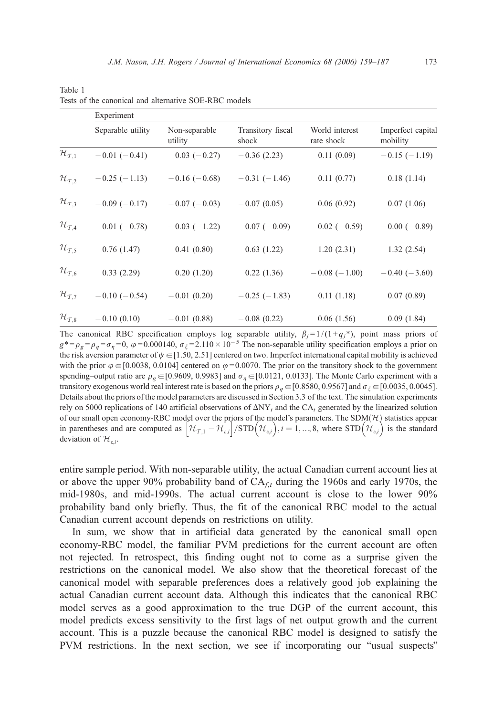|                               | Experiment        |                          |                            |                              |                               |
|-------------------------------|-------------------|--------------------------|----------------------------|------------------------------|-------------------------------|
|                               | Separable utility | Non-separable<br>utility | Transitory fiscal<br>shock | World interest<br>rate shock | Imperfect capital<br>mobility |
| $\mathcal{H}_{\mathcal{T},1}$ | $-0.01(-0.41)$    | $0.03(-0.27)$            | $-0.36(2.23)$              | 0.11(0.09)                   | $-0.15(-1.19)$                |
| $\mathcal{H}_{\mathcal{T},2}$ | $-0.25(-1.13)$    | $-0.16(-0.68)$           | $-0.31(-1.46)$             | 0.11(0.77)                   | 0.18(1.14)                    |
| $\mathcal{H}_{\mathcal{T},3}$ | $-0.09(-0.17)$    | $-0.07(-0.03)$           | $-0.07(0.05)$              | 0.06(0.92)                   | 0.07(1.06)                    |
| $\mathcal{H}_{\mathcal{T},4}$ | $0.01(-0.78)$     | $-0.03(-1.22)$           | $0.07(-0.09)$              | $0.02(-0.59)$                | $-0.00(-0.89)$                |
| $\mathcal{H}_{\mathcal{T},5}$ | 0.76(1.47)        | 0.41(0.80)               | 0.63(1.22)                 | 1.20(2.31)                   | 1.32(2.54)                    |
| $\mathcal{H}_{\mathcal{T},6}$ | 0.33(2.29)        | 0.20(1.20)               | 0.22(1.36)                 | $-0.08$ ( $-1.00$ )          | $-0.40(-3.60)$                |
| $\mathcal{H}_{\mathcal{T},7}$ | $-0.10(-0.54)$    | $-0.01(0.20)$            | $-0.25(-1.83)$             | 0.11(1.18)                   | 0.07(0.89)                    |
| $\mathcal{H}_{\mathcal{T},8}$ | $-0.10(0.10)$     | $-0.01(0.88)$            | $-0.08(0.22)$              | 0.06(1.56)                   | 0.09(1.84)                    |

<span id="page-14-0"></span>Table 1 Tests of the canonical and alternative SOE-RBC models

The canonical RBC specification employs log separable utility,  $\beta_j = 1/(1 + q_j^*)$ , point mass priors of  $g^* = \rho_g = \rho_g = \sigma_n = 0$ ,  $\varphi = 0.000140$ ,  $\sigma_{\xi} = 2.110 \times 10^{-5}$  The non-separable utility specification employs a prior on the risk aversion parameter of  $\psi \in [1.50, 2.51]$  centered on two. Imperfect international capital mobility is achieved with the prior  $\varphi \in [0.0038, 0.0104]$  centered on  $\varphi = 0.0070$ . The prior on the transitory shock to the government spending–output ratio are  $\rho_g \in [0.9609, 0.9983]$  and  $\sigma_\eta \in [0.0121, 0.0133]$ . The Monte Carlo experiment with a transitory exogenous world real interest rate is based on the priors  $\rho_q \in [0.8580, 0.9567]$  and  $\sigma_{\zeta} \in [0.0035, 0.0045]$ . Details about the priors of the model parameters are discussed in Section 3.3 of the text. The simulation experiments rely on 5000 replications of 140 artificial observations of  $\Delta NY_t$  and the CA<sub>t</sub> generated by the linearized solution of our small open economy-RBC model over the priors of the model's parameters. The SDM $(H)$  statistics appear or our small open economy-KBC model over the priors of the model s parameters. The SDM( $H$ ) statistics appear<br>in parentheses and are computed as  $\left[\mathcal{H}_{\mathcal{T},1} - \mathcal{H}_{\epsilon,i}\right] / \text{STD}\left(\mathcal{H}_{\epsilon,i}\right), i = 1,...,8$ , where STD $\left(\mathcal{H}_{$ deviation of  $\mathcal{H}_{\varepsilon,i}$ .

entire sample period. With non-separable utility, the actual Canadian current account lies at or above the upper 90% probability band of  $CA<sub>rf</sub>$  during the 1960s and early 1970s, the mid-1980s, and mid-1990s. The actual current account is close to the lower 90% probability band only briefly. Thus, the fit of the canonical RBC model to the actual Canadian current account depends on restrictions on utility.

In sum, we show that in artificial data generated by the canonical small open economy-RBC model, the familiar PVM predictions for the current account are often not rejected. In retrospect, this finding ought not to come as a surprise given the restrictions on the canonical model. We also show that the theoretical forecast of the canonical model with separable preferences does a relatively good job explaining the actual Canadian current account data. Although this indicates that the canonical RBC model serves as a good approximation to the true DGP of the current account, this model predicts excess sensitivity to the first lags of net output growth and the current account. This is a puzzle because the canonical RBC model is designed to satisfy the PVM restrictions. In the next section, we see if incorporating our "usual suspects"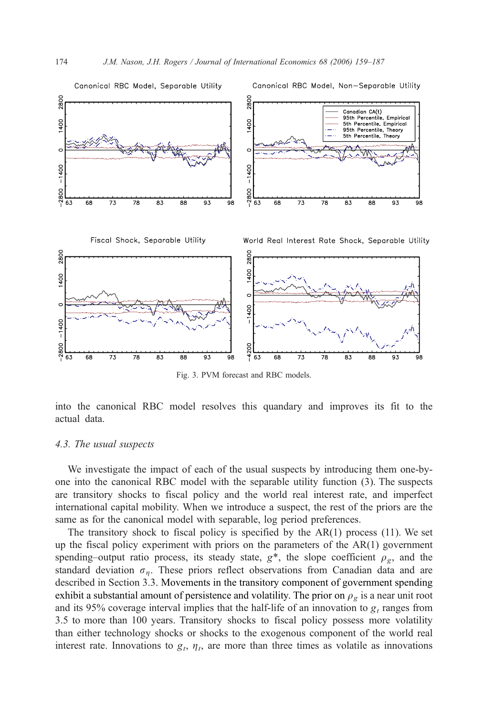<span id="page-15-0"></span>

Fig. 3. PVM forecast and RBC models.

into the canonical RBC model resolves this quandary and improves its fit to the actual data.

## 4.3. The usual suspects

We investigate the impact of each of the usual suspects by introducing them one-byone into the canonical RBC model with the separable utility function (3). The suspects are transitory shocks to fiscal policy and the world real interest rate, and imperfect international capital mobility. When we introduce a suspect, the rest of the priors are the same as for the canonical model with separable, log period preferences.

The transitory shock to fiscal policy is specified by the  $AR(1)$  process (11). We set up the fiscal policy experiment with priors on the parameters of the AR(1) government spending–output ratio process, its steady state,  $g^*$ , the slope coefficient  $\rho_g$ , and the standard deviation  $\sigma_n$ . These priors reflect observations from Canadian data and are described in Section 3.3. Movements in the transitory component of government spending exhibit a substantial amount of persistence and volatility. The prior on  $\rho_g$  is a near unit root and its 95% coverage interval implies that the half-life of an innovation to  $g_t$  ranges from 3.5 to more than 100 years. Transitory shocks to fiscal policy possess more volatility than either technology shocks or shocks to the exogenous component of the world real interest rate. Innovations to  $g_t$ ,  $\eta_t$ , are more than three times as volatile as innovations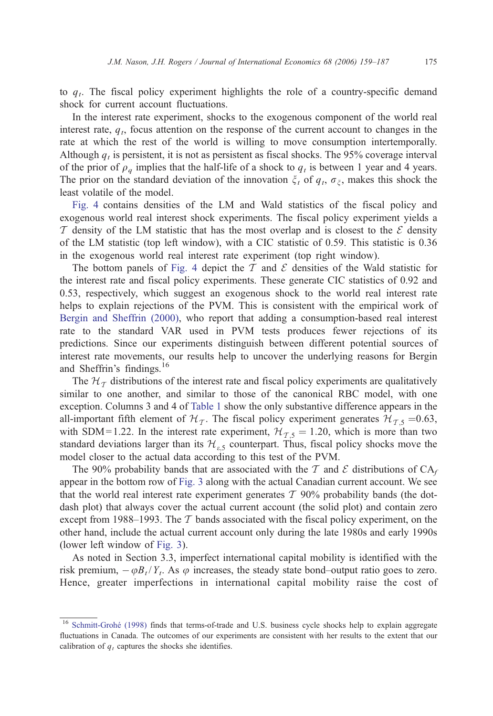to  $q_t$ . The fiscal policy experiment highlights the role of a country-specific demand shock for current account fluctuations.

In the interest rate experiment, shocks to the exogenous component of the world real interest rate,  $q_t$ , focus attention on the response of the current account to changes in the rate at which the rest of the world is willing to move consumption intertemporally. Although  $q_t$  is persistent, it is not as persistent as fiscal shocks. The 95% coverage interval of the prior of  $\rho_q$  implies that the half-life of a shock to  $q_t$  is between 1 year and 4 years. The prior on the standard deviation of the innovation  $\xi_t$  of  $q_t$ ,  $\sigma_{\xi}$ , makes this shock the least volatile of the model.

[Fig. 4](#page-17-0) contains densities of the LM and Wald statistics of the fiscal policy and exogenous world real interest shock experiments. The fiscal policy experiment yields a T density of the LM statistic that has the most overlap and is closest to the  $\mathcal E$  density of the LM statistic (top left window), with a CIC statistic of 0.59. This statistic is 0.36 in the exogenous world real interest rate experiment (top right window).

The bottom panels of [Fig. 4](#page-17-0) depict the  $\mathcal T$  and  $\mathcal E$  densities of the Wald statistic for the interest rate and fiscal policy experiments. These generate CIC statistics of 0.92 and 0.53, respectively, which suggest an exogenous shock to the world real interest rate helps to explain rejections of the PVM. This is consistent with the empirical work of [Bergin and Sheffrin \(2000\),](#page-27-0) who report that adding a consumption-based real interest rate to the standard VAR used in PVM tests produces fewer rejections of its predictions. Since our experiments distinguish between different potential sources of interest rate movements, our results help to uncover the underlying reasons for Bergin and Sheffrin's findings.<sup>16</sup>

The  $\mathcal{H}_{\tau}$  distributions of the interest rate and fiscal policy experiments are qualitatively similar to one another, and similar to those of the canonical RBC model, with one exception. Columns 3 and 4 of [Table 1](#page-14-0) show the only substantive difference appears in the all-important fifth element of  $\mathcal{H}_T$ . The fiscal policy experiment generates  $\mathcal{H}_{T,5} = 0.63$ , with SDM=1.22. In the interest rate experiment,  $\mathcal{H}_{TS} = 1.20$ , which is more than two standard deviations larger than its  $\mathcal{H}_{\varepsilon,5}$  counterpart. Thus, fiscal policy shocks move the model closer to the actual data according to this test of the PVM.

The 90% probability bands that are associated with the T and E distributions of  $CA_f$ appear in the bottom row of [Fig. 3](#page-15-0) along with the actual Canadian current account. We see that the world real interest rate experiment generates  $\mathcal T$  90% probability bands (the dotdash plot) that always cover the actual current account (the solid plot) and contain zero except from 1988–1993. The  $\mathcal T$  bands associated with the fiscal policy experiment, on the other hand, include the actual current account only during the late 1980s and early 1990s (lower left window of [Fig. 3\)](#page-15-0).

As noted in Section 3.3, imperfect international capital mobility is identified with the risk premium,  $-\varphi B_t / Y_t$ . As  $\varphi$  increases, the steady state bond–output ratio goes to zero. Hence, greater imperfections in international capital mobility raise the cost of

<sup>&</sup>lt;sup>16</sup> Schmitt-Grohé (1998) finds that terms-of-trade and U.S. business cycle shocks help to explain aggregate fluctuations in Canada. The outcomes of our experiments are consistent with her results to the extent that our calibration of  $q_t$  captures the shocks she identifies.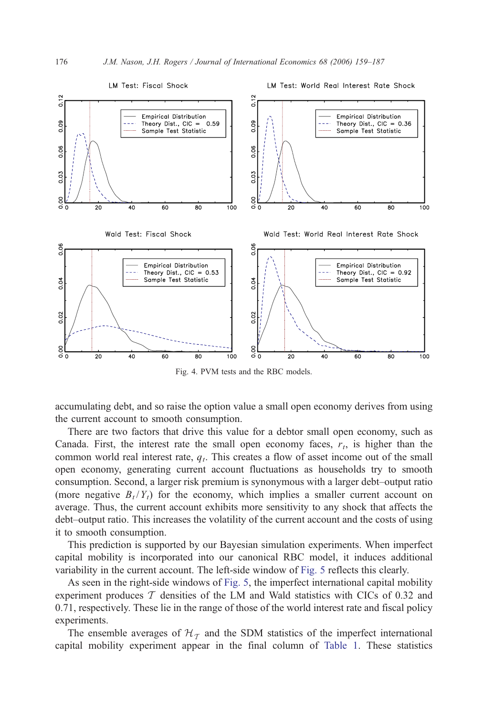

Fig. 4. PVM tests and the RBC models.

accumulating debt, and so raise the option value a small open economy derives from using the current account to smooth consumption.

There are two factors that drive this value for a debtor small open economy, such as Canada. First, the interest rate the small open economy faces,  $r_t$ , is higher than the common world real interest rate,  $q_t$ . This creates a flow of asset income out of the small open economy, generating current account fluctuations as households try to smooth consumption. Second, a larger risk premium is synonymous with a larger debt–output ratio (more negative  $B_t/Y_t$ ) for the economy, which implies a smaller current account on average. Thus, the current account exhibits more sensitivity to any shock that affects the debt–output ratio. This increases the volatility of the current account and the costs of using it to smooth consumption.

This prediction is supported by our Bayesian simulation experiments. When imperfect capital mobility is incorporated into our canonical RBC model, it induces additional variability in the current account. The left-side window of [Fig. 5](#page-18-0) reflects this clearly.

As seen in the right-side windows of [Fig. 5,](#page-18-0) the imperfect international capital mobility experiment produces  $T$  densities of the LM and Wald statistics with CICs of 0.32 and 0.71, respectively. These lie in the range of those of the world interest rate and fiscal policy experiments.

The ensemble averages of  $H<sub>T</sub>$  and the SDM statistics of the imperfect international capital mobility experiment appear in the final column of [Table 1.](#page-14-0) These statistics

<span id="page-17-0"></span>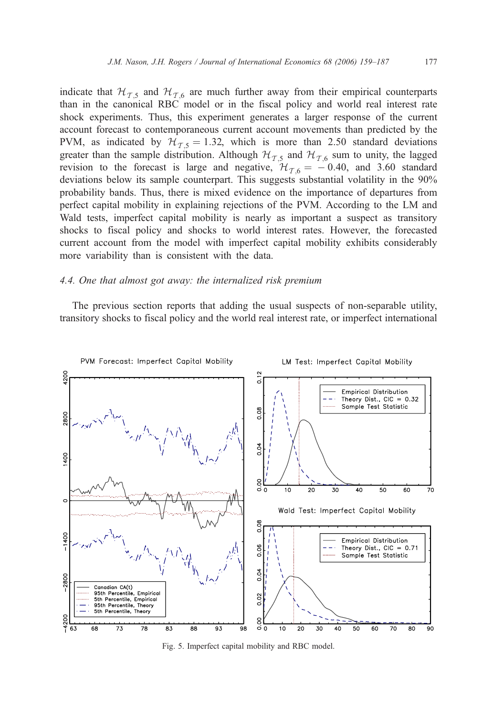<span id="page-18-0"></span>indicate that  $\mathcal{H}_{\tau5}$  and  $\mathcal{H}_{\tau6}$  are much further away from their empirical counterparts than in the canonical RBC model or in the fiscal policy and world real interest rate shock experiments. Thus, this experiment generates a larger response of the current account forecast to contemporaneous current account movements than predicted by the PVM, as indicated by  $\mathcal{H}_{\tau,5} = 1.32$ , which is more than 2.50 standard deviations greater than the sample distribution. Although  $\mathcal{H}_{T,5}$  and  $\mathcal{H}_{T,6}$  sum to unity, the lagged revision to the forecast is large and negative,  $\mathcal{H}_{\tau_6} = -0.40$ , and 3.60 standard deviations below its sample counterpart. This suggests substantial volatility in the 90% probability bands. Thus, there is mixed evidence on the importance of departures from perfect capital mobility in explaining rejections of the PVM. According to the LM and Wald tests, imperfect capital mobility is nearly as important a suspect as transitory shocks to fiscal policy and shocks to world interest rates. However, the forecasted current account from the model with imperfect capital mobility exhibits considerably more variability than is consistent with the data.

# 4.4. One that almost got away: the internalized risk premium

The previous section reports that adding the usual suspects of non-separable utility, transitory shocks to fiscal policy and the world real interest rate, or imperfect international



Fig. 5. Imperfect capital mobility and RBC model.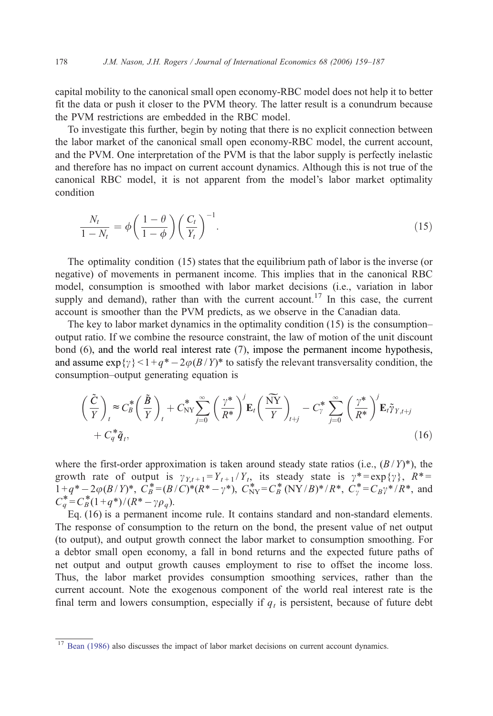capital mobility to the canonical small open economy-RBC model does not help it to better fit the data or push it closer to the PVM theory. The latter result is a conundrum because the PVM restrictions are embedded in the RBC model.

To investigate this further, begin by noting that there is no explicit connection between the labor market of the canonical small open economy-RBC model, the current account, and the PVM. One interpretation of the PVM is that the labor supply is perfectly inelastic and therefore has no impact on current account dynamics. Although this is not true of the canonical RBC model, it is not apparent from the model's labor market optimality condition

$$
\frac{N_t}{1 - N_t} = \phi \left( \frac{1 - \theta}{1 - \phi} \right) \left( \frac{C_t}{Y_t} \right)^{-1}.
$$
\n(15)

The optimality condition (15) states that the equilibrium path of labor is the inverse (or negative) of movements in permanent income. This implies that in the canonical RBC model, consumption is smoothed with labor market decisions (i.e., variation in labor supply and demand), rather than with the current account.<sup>17</sup> In this case, the current account is smoother than the PVM predicts, as we observe in the Canadian data.

The key to labor market dynamics in the optimality condition (15) is the consumption– output ratio. If we combine the resource constraint, the law of motion of the unit discount bond (6), and the world real interest rate (7), impose the permanent income hypothesis, and assume  $\exp{\gamma}$  <  $1 + q^* - 2\varphi(B / Y)^*$  to satisfy the relevant transversality condition, the consumption–output generating equation is

$$
\left(\frac{\tilde{C}}{Y}\right)_t \approx C_B^* \left(\frac{\tilde{B}}{Y}\right)_t + C_{\text{NY}}^* \sum_{j=0}^\infty \left(\frac{\gamma^*}{R^*}\right)^j \mathbf{E}_t \left(\frac{\widetilde{\text{NY}}}{Y}\right)_{t+j} - C_\gamma^* \sum_{j=0}^\infty \left(\frac{\gamma^*}{R^*}\right)^j \mathbf{E}_t \tilde{\gamma}_{Y,t+j} + C_q^* \tilde{q}_t, \tag{16}
$$

where the first-order approximation is taken around steady state ratios (i.e.,  $(B/Y)^*$ ), the growth rate of output is  $\gamma_{Y,t + 1} = Y_{t+1} / Y_t$ , its steady state is  $\gamma^* = \exp{\gamma}$ ,  $R^* =$  $1+q^*-2\varphi(B/Y)^*, C_B^*=(B/C)^*(R^*-\gamma^*), C_{NY}^*={C_B^*}({NY/B})^*/R^*, C_7^*={C_B}\gamma^*/R^*,$  and  $C_q^* = C_B^*(1 + q^*)/(R^* - \gamma \rho_q).$ 

Eq. (16) is a permanent income rule. It contains standard and non-standard elements. The response of consumption to the return on the bond, the present value of net output (to output), and output growth connect the labor market to consumption smoothing. For a debtor small open economy, a fall in bond returns and the expected future paths of net output and output growth causes employment to rise to offset the income loss. Thus, the labor market provides consumption smoothing services, rather than the current account. Note the exogenous component of the world real interest rate is the final term and lowers consumption, especially if  $q_t$  is persistent, because of future debt

<sup>&</sup>lt;sup>17</sup> [Bean \(1986\)](#page-27-0) also discusses the impact of labor market decisions on current account dynamics.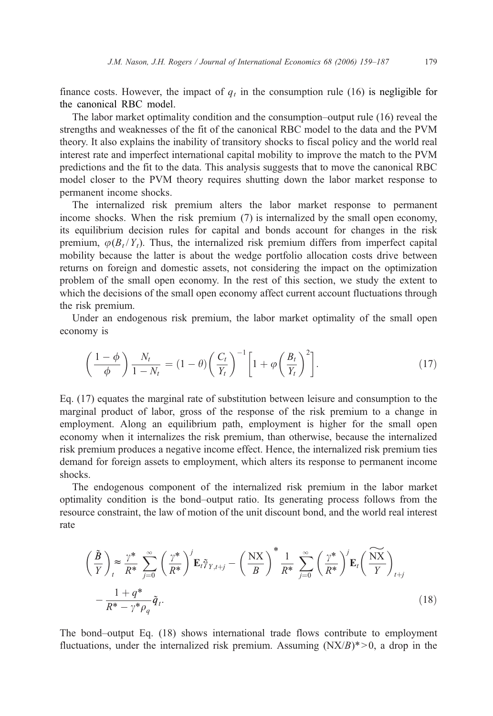finance costs. However, the impact of  $q_t$  in the consumption rule (16) is negligible for the canonical RBC model.

The labor market optimality condition and the consumption–output rule (16) reveal the strengths and weaknesses of the fit of the canonical RBC model to the data and the PVM theory. It also explains the inability of transitory shocks to fiscal policy and the world real interest rate and imperfect international capital mobility to improve the match to the PVM predictions and the fit to the data. This analysis suggests that to move the canonical RBC model closer to the PVM theory requires shutting down the labor market response to permanent income shocks.

The internalized risk premium alters the labor market response to permanent income shocks. When the risk premium (7) is internalized by the small open economy, its equilibrium decision rules for capital and bonds account for changes in the risk premium,  $\varphi(B_t / Y_t)$ . Thus, the internalized risk premium differs from imperfect capital mobility because the latter is about the wedge portfolio allocation costs drive between returns on foreign and domestic assets, not considering the impact on the optimization problem of the small open economy. In the rest of this section, we study the extent to which the decisions of the small open economy affect current account fluctuations through the risk premium.

Under an endogenous risk premium, the labor market optimality of the small open economy is

$$
\left(\frac{1-\phi}{\phi}\right)\frac{N_t}{1-N_t} = (1-\theta)\left(\frac{C_t}{Y_t}\right)^{-1} \left[1+\varphi\left(\frac{B_t}{Y_t}\right)^2\right].
$$
\n(17)

Eq. (17) equates the marginal rate of substitution between leisure and consumption to the marginal product of labor, gross of the response of the risk premium to a change in employment. Along an equilibrium path, employment is higher for the small open economy when it internalizes the risk premium, than otherwise, because the internalized risk premium produces a negative income effect. Hence, the internalized risk premium ties demand for foreign assets to employment, which alters its response to permanent income shocks.

The endogenous component of the internalized risk premium in the labor market optimality condition is the bond–output ratio. Its generating process follows from the resource constraint, the law of motion of the unit discount bond, and the world real interest rate

$$
\left(\frac{\tilde{B}}{Y}\right)_{t} \approx \frac{\gamma^{*}}{R^{*}} \sum_{j=0}^{\infty} \left(\frac{\gamma^{*}}{R^{*}}\right)^{j} \mathbf{E}_{t} \tilde{\gamma}_{Y,t+j} - \left(\frac{\mathbf{N}X}{B}\right)^{*} \frac{1}{R^{*}} \sum_{j=0}^{\infty} \left(\frac{\gamma^{*}}{R^{*}}\right)^{j} \mathbf{E}_{t} \left(\frac{\widetilde{\mathbf{N}X}}{Y}\right)_{t+j}
$$
\n
$$
-\frac{1+q^{*}}{R^{*}-\gamma^{*}\rho_{q}} \tilde{q}_{t}.
$$
\n(18)

The bond–output Eq. (18) shows international trade flows contribute to employment fluctuations, under the internalized risk premium. Assuming  $(NX/B)^*>0$ , a drop in the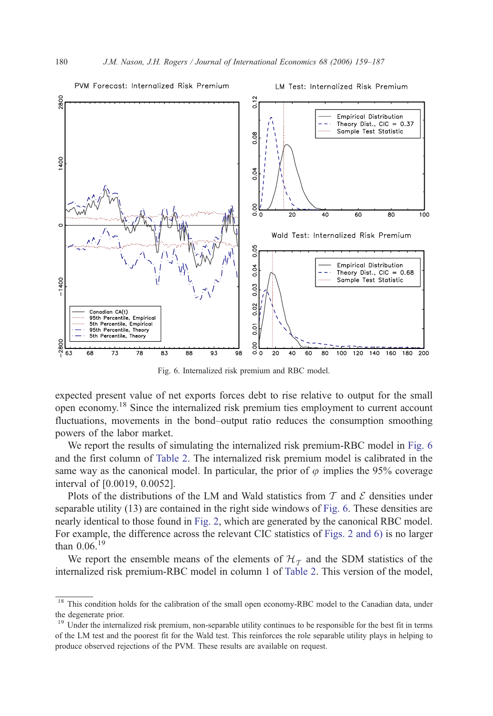<span id="page-21-0"></span>

Fig. 6. Internalized risk premium and RBC model.

expected present value of net exports forces debt to rise relative to output for the small open economy.<sup>18</sup> Since the internalized risk premium ties employment to current account fluctuations, movements in the bond–output ratio reduces the consumption smoothing powers of the labor market.

We report the results of simulating the internalized risk premium-RBC model in Fig. 6 and the first column of [Table 2.](#page-22-0) The internalized risk premium model is calibrated in the same way as the canonical model. In particular, the prior of  $\varphi$  implies the 95% coverage interval of [0.0019, 0.0052].

Plots of the distributions of the LM and Wald statistics from  $\mathcal T$  and  $\mathcal E$  densities under separable utility (13) are contained in the right side windows of Fig. 6. These densities are nearly identical to those found in [Fig. 2,](#page-13-0) which are generated by the canonical RBC model. For example, the difference across the relevant CIC statistics of [Figs. 2 and 6\)](#page-13-0) is no larger than  $0.06^{19}$ 

We report the ensemble means of the elements of  $\mathcal{H}_{\tau}$  and the SDM statistics of the internalized risk premium-RBC model in column 1 of [Table 2.](#page-22-0) This version of the model,

<sup>&</sup>lt;sup>18</sup> This condition holds for the calibration of the small open economy-RBC model to the Canadian data, under the degenerate prior.

<sup>&</sup>lt;sup>19</sup> Under the internalized risk premium, non-separable utility continues to be responsible for the best fit in terms of the LM test and the poorest fit for the Wald test. This reinforces the role separable utility plays in helping to produce observed rejections of the PVM. These results are available on request.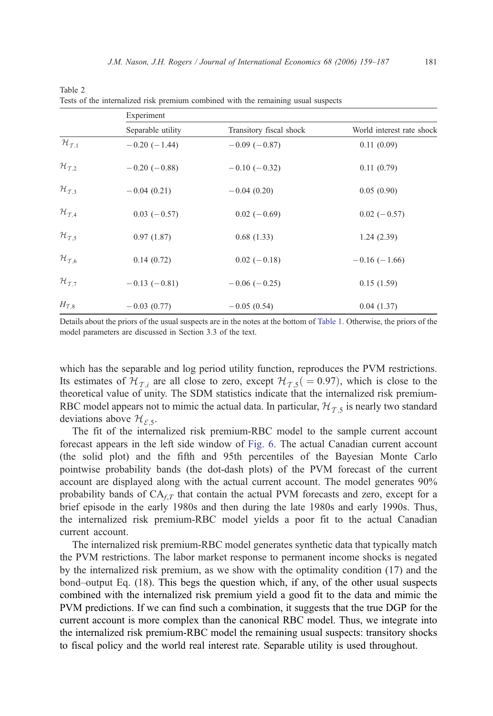|                               | Experiment          |                         |                           |  |  |  |
|-------------------------------|---------------------|-------------------------|---------------------------|--|--|--|
|                               | Separable utility   | Transitory fiscal shock | World interest rate shock |  |  |  |
| $\mathcal{H}_{\mathcal{T},1}$ | $-0.20(-1.44)$      | $-0.09(-0.87)$          | 0.11(0.09)                |  |  |  |
| $\mathcal{H}_{T,2}$           | $-0.20$ ( $-0.88$ ) | $-0.10(-0.32)$          | 0.11(0.79)                |  |  |  |
| $\mathcal{H}_{T,3}$           | $-0.04(0.21)$       | $-0.04(0.20)$           | 0.05(0.90)                |  |  |  |
| $\mathcal{H}_{\mathcal{T},4}$ | $0.03(-0.57)$       | $0.02(-0.69)$           | $0.02(-0.57)$             |  |  |  |
| $\mathcal{H}_{T,5}$           | 0.97(1.87)          | 0.68(1.33)              | 1.24(2.39)                |  |  |  |
| $\mathcal{H}_{T,6}$           | 0.14(0.72)          | $0.02(-0.18)$           | $-0.16(-1.66)$            |  |  |  |

<span id="page-22-0"></span>Table 2 Tests of the internalized risk premium combined with the remaining usual suspects

Details about the priors of the usual suspects are in the notes at the bottom of [Table 1.](#page-14-0) Otherwise, the priors of the model parameters are discussed in Section 3.3 of the text.

 $\mathcal{H}_{\mathcal{I}\mathcal{I}}$   $-0.13$   $(-0.81)$   $-0.06$   $(-0.25)$  0.15 (1.59)

H<sup>T</sup> ;<sup>8</sup> 0.03 (0.77) 0.05 (0.54) 0.04 (1.37)

which has the separable and log period utility function, reproduces the PVM restrictions. Its estimates of  $\mathcal{H}_{T,i}$  are all close to zero, except  $\mathcal{H}_{T,5} = (0.97)$ , which is close to the theoretical value of unity. The SDM statistics indicate that the internalized risk premium-RBC model appears not to mimic the actual data. In particular,  $\mathcal{H}_{\mathcal{T},5}$  is nearly two standard deviations above  $\mathcal{H}_{\varepsilon,5}$ .

The fit of the internalized risk premium-RBC model to the sample current account forecast appears in the left side window of [Fig. 6.](#page-21-0) The actual Canadian current account (the solid plot) and the fifth and 95th percentiles of the Bayesian Monte Carlo pointwise probability bands (the dot-dash plots) of the PVM forecast of the current account are displayed along with the actual current account. The model generates 90% probability bands of  $CA<sub>f,T</sub>$  that contain the actual PVM forecasts and zero, except for a brief episode in the early 1980s and then during the late 1980s and early 1990s. Thus, the internalized risk premium-RBC model yields a poor fit to the actual Canadian current account.

The internalized risk premium-RBC model generates synthetic data that typically match the PVM restrictions. The labor market response to permanent income shocks is negated by the internalized risk premium, as we show with the optimality condition (17) and the bond–output Eq. (18). This begs the question which, if any, of the other usual suspects combined with the internalized risk premium yield a good fit to the data and mimic the PVM predictions. If we can find such a combination, it suggests that the true DGP for the current account is more complex than the canonical RBC model. Thus, we integrate into the internalized risk premium-RBC model the remaining usual suspects: transitory shocks to fiscal policy and the world real interest rate. Separable utility is used throughout.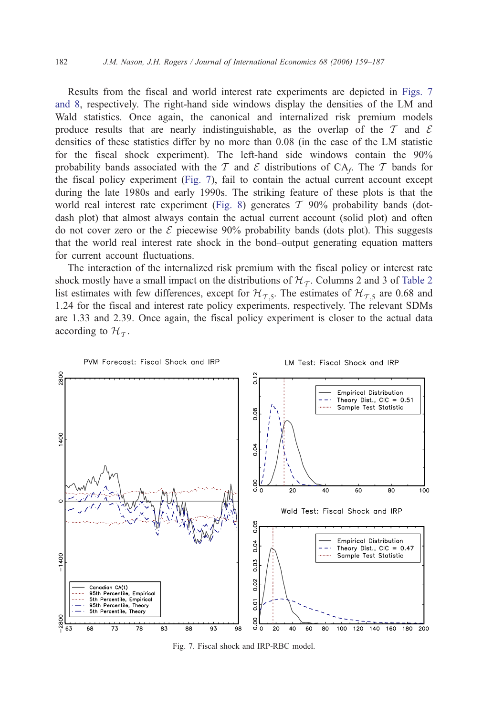Results from the fiscal and world interest rate experiments are depicted in Figs. 7 and 8, respectively. The right-hand side windows display the densities of the LM and Wald statistics. Once again, the canonical and internalized risk premium models produce results that are nearly indistinguishable, as the overlap of the T and  $\mathcal E$ densities of these statistics differ by no more than 0.08 (in the case of the LM statistic for the fiscal shock experiment). The left-hand side windows contain the 90% probability bands associated with the T and E distributions of  $CA_f$ . The T bands for the fiscal policy experiment (Fig. 7), fail to contain the actual current account except during the late 1980s and early 1990s. The striking feature of these plots is that the world real interest rate experiment ([Fig. 8\)](#page-24-0) generates  $\mathcal T$  90% probability bands (dotdash plot) that almost always contain the actual current account (solid plot) and often do not cover zero or the  $\mathcal E$  piecewise 90% probability bands (dots plot). This suggests that the world real interest rate shock in the bond–output generating equation matters for current account fluctuations.

The interaction of the internalized risk premium with the fiscal policy or interest rate shock mostly have a small impact on the distributions of  $\mathcal{H}_{\tau}$ . Columns 2 and 3 of [Table 2](#page-22-0) list estimates with few differences, except for  $H_{\tau,s}$ . The estimates of  $H_{\tau,s}$  are 0.68 and 1.24 for the fiscal and interest rate policy experiments, respectively. The relevant SDMs are 1.33 and 2.39. Once again, the fiscal policy experiment is closer to the actual data according to  $\mathcal{H}_{\tau}$ .



Fig. 7. Fiscal shock and IRP-RBC model.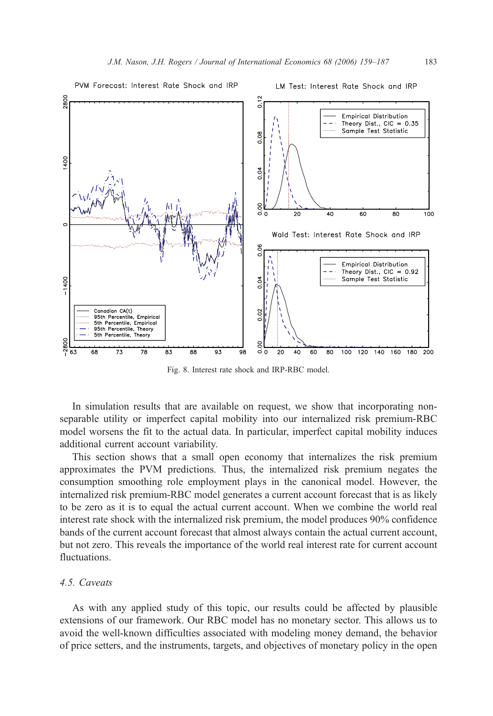<span id="page-24-0"></span>

Fig. 8. Interest rate shock and IRP-RBC model.

In simulation results that are available on request, we show that incorporating nonseparable utility or imperfect capital mobility into our internalized risk premium-RBC model worsens the fit to the actual data. In particular, imperfect capital mobility induces additional current account variability.

This section shows that a small open economy that internalizes the risk premium approximates the PVM predictions. Thus, the internalized risk premium negates the consumption smoothing role employment plays in the canonical model. However, the internalized risk premium-RBC model generates a current account forecast that is as likely to be zero as it is to equal the actual current account. When we combine the world real interest rate shock with the internalized risk premium, the model produces 90% confidence bands of the current account forecast that almost always contain the actual current account, but not zero. This reveals the importance of the world real interest rate for current account fluctuations.

# 4.5. Caveats

As with any applied study of this topic, our results could be affected by plausible extensions of our framework. Our RBC model has no monetary sector. This allows us to avoid the well-known difficulties associated with modeling money demand, the behavior of price setters, and the instruments, targets, and objectives of monetary policy in the open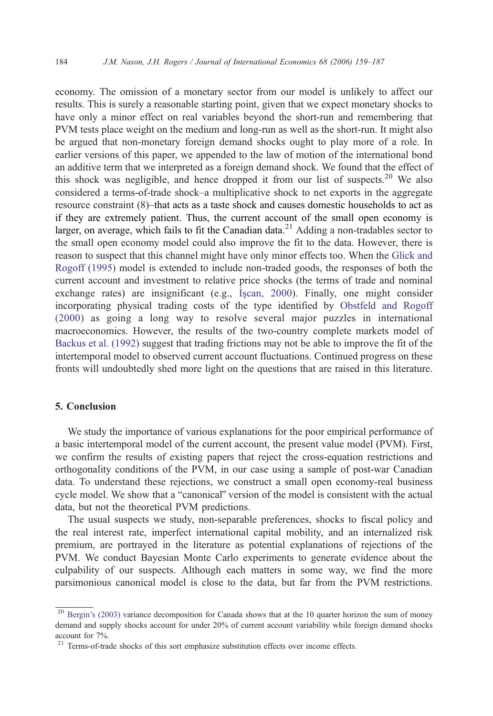economy. The omission of a monetary sector from our model is unlikely to affect our results. This is surely a reasonable starting point, given that we expect monetary shocks to have only a minor effect on real variables beyond the short-run and remembering that PVM tests place weight on the medium and long-run as well as the short-run. It might also be argued that non-monetary foreign demand shocks ought to play more of a role. In earlier versions of this paper, we appended to the law of motion of the international bond an additive term that we interpreted as a foreign demand shock. We found that the effect of this shock was negligible, and hence dropped it from our list of suspects.<sup>20</sup> We also considered a terms-of-trade shock–a multiplicative shock to net exports in the aggregate resource constraint (8)–that acts as a taste shock and causes domestic households to act as if they are extremely patient. Thus, the current account of the small open economy is larger, on average, which fails to fit the Canadian data.<sup>21</sup> Adding a non-tradables sector to the small open economy model could also improve the fit to the data. However, there is reason to suspect that this channel might have only minor effects too. When the [Glick and](#page-27-0) Rogoff (1995) model is extended to include non-traded goods, the responses of both the current account and investment to relative price shocks (the terms of trade and nominal exchange rates) are insignificant (e.g., İşcan, 2000). Finally, one might consider incorporating physical trading costs of the type identified by [Obstfeld and Rogoff](#page-28-0) (2000) as going a long way to resolve several major puzzles in international macroeconomics. However, the results of the two-country complete markets model of [Backus et al. \(1992\)](#page-27-0) suggest that trading frictions may not be able to improve the fit of the intertemporal model to observed current account fluctuations. Continued progress on these fronts will undoubtedly shed more light on the questions that are raised in this literature.

# 5. Conclusion

We study the importance of various explanations for the poor empirical performance of a basic intertemporal model of the current account, the present value model (PVM). First, we confirm the results of existing papers that reject the cross-equation restrictions and orthogonality conditions of the PVM, in our case using a sample of post-war Canadian data. To understand these rejections, we construct a small open economy-real business cycle model. We show that a "canonical" version of the model is consistent with the actual data, but not the theoretical PVM predictions.

The usual suspects we study, non-separable preferences, shocks to fiscal policy and the real interest rate, imperfect international capital mobility, and an internalized risk premium, are portrayed in the literature as potential explanations of rejections of the PVM. We conduct Bayesian Monte Carlo experiments to generate evidence about the culpability of our suspects. Although each matters in some way, we find the more parsimonious canonical model is close to the data, but far from the PVM restrictions.

<sup>&</sup>lt;sup>20</sup> [Bergin's \(2003\)](#page-27-0) variance decomposition for Canada shows that at the 10 quarter horizon the sum of money demand and supply shocks account for under 20% of current account variability while foreign demand shocks account for 7%.

<sup>&</sup>lt;sup>21</sup> Terms-of-trade shocks of this sort emphasize substitution effects over income effects.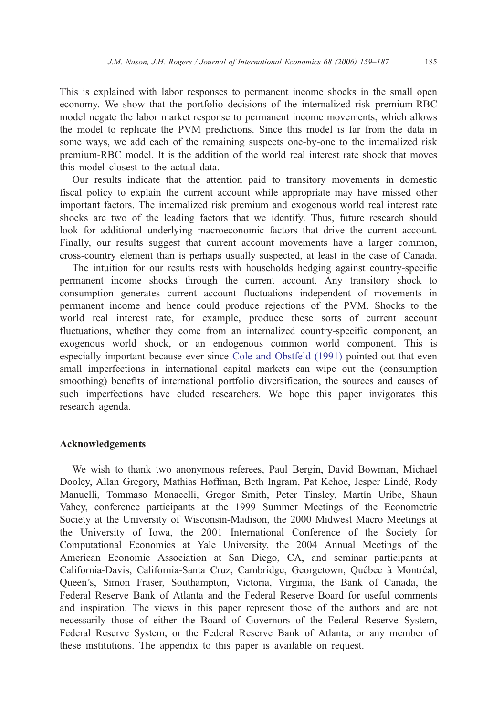This is explained with labor responses to permanent income shocks in the small open economy. We show that the portfolio decisions of the internalized risk premium-RBC model negate the labor market response to permanent income movements, which allows the model to replicate the PVM predictions. Since this model is far from the data in some ways, we add each of the remaining suspects one-by-one to the internalized risk premium-RBC model. It is the addition of the world real interest rate shock that moves this model closest to the actual data.

Our results indicate that the attention paid to transitory movements in domestic fiscal policy to explain the current account while appropriate may have missed other important factors. The internalized risk premium and exogenous world real interest rate shocks are two of the leading factors that we identify. Thus, future research should look for additional underlying macroeconomic factors that drive the current account. Finally, our results suggest that current account movements have a larger common, cross-country element than is perhaps usually suspected, at least in the case of Canada.

The intuition for our results rests with households hedging against country-specific permanent income shocks through the current account. Any transitory shock to consumption generates current account fluctuations independent of movements in permanent income and hence could produce rejections of the PVM. Shocks to the world real interest rate, for example, produce these sorts of current account fluctuations, whether they come from an internalized country-specific component, an exogenous world shock, or an endogenous common world component. This is especially important because ever since [Cole and Obstfeld \(1991\)](#page-27-0) pointed out that even small imperfections in international capital markets can wipe out the (consumption smoothing) benefits of international portfolio diversification, the sources and causes of such imperfections have eluded researchers. We hope this paper invigorates this research agenda.

## Acknowledgements

We wish to thank two anonymous referees, Paul Bergin, David Bowman, Michael Dooley, Allan Gregory, Mathias Hoffman, Beth Ingram, Pat Kehoe, Jesper Linde´, Rody Manuelli, Tommaso Monacelli, Gregor Smith, Peter Tinsley, Martín Uribe, Shaun Vahey, conference participants at the 1999 Summer Meetings of the Econometric Society at the University of Wisconsin-Madison, the 2000 Midwest Macro Meetings at the University of Iowa, the 2001 International Conference of the Society for Computational Economics at Yale University, the 2004 Annual Meetings of the American Economic Association at San Diego, CA, and seminar participants at California-Davis, California-Santa Cruz, Cambridge, Georgetown, Québec à Montréal, Queen's, Simon Fraser, Southampton, Victoria, Virginia, the Bank of Canada, the Federal Reserve Bank of Atlanta and the Federal Reserve Board for useful comments and inspiration. The views in this paper represent those of the authors and are not necessarily those of either the Board of Governors of the Federal Reserve System, Federal Reserve System, or the Federal Reserve Bank of Atlanta, or any member of these institutions. The appendix to this paper is available on request.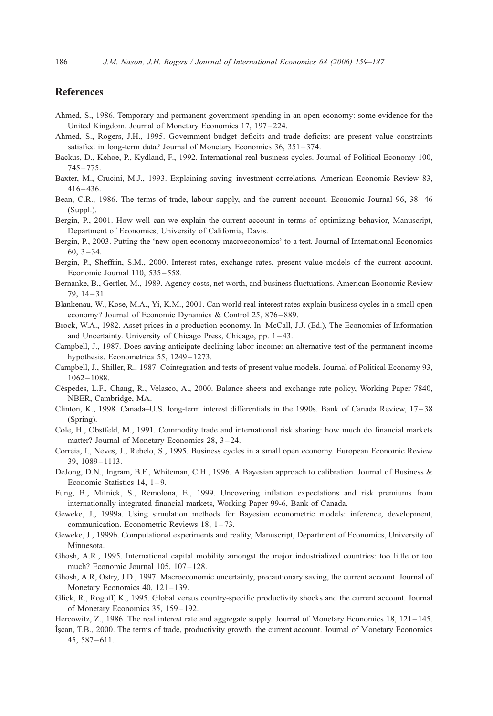# <span id="page-27-0"></span>References

- Ahmed, S., 1986. Temporary and permanent government spending in an open economy: some evidence for the United Kingdom. Journal of Monetary Economics 17, 197 – 224.
- Ahmed, S., Rogers, J.H., 1995. Government budget deficits and trade deficits: are present value constraints satisfied in long-term data? Journal of Monetary Economics 36, 351-374.
- Backus, D., Kehoe, P., Kydland, F., 1992. International real business cycles. Journal of Political Economy 100, 745 – 775.
- Baxter, M., Crucini, M.J., 1993. Explaining saving–investment correlations. American Economic Review 83,  $416 - 436$
- Bean, C.R., 1986. The terms of trade, labour supply, and the current account. Economic Journal 96, 38–46 (Suppl.).
- Bergin, P., 2001. How well can we explain the current account in terms of optimizing behavior, Manuscript, Department of Economics, University of California, Davis.
- Bergin, P., 2003. Putting the 'new open economy macroeconomics' to a test. Journal of International Economics 60,  $3 - 34$ .
- Bergin, P., Sheffrin, S.M., 2000. Interest rates, exchange rates, present value models of the current account. Economic Journal 110, 535 – 558.
- Bernanke, B., Gertler, M., 1989. Agency costs, net worth, and business fluctuations. American Economic Review  $79, 14 - 31.$
- Blankenau, W., Kose, M.A., Yi, K.M., 2001. Can world real interest rates explain business cycles in a small open economy? Journal of Economic Dynamics & Control 25, 876–889.
- Brock, W.A., 1982. Asset prices in a production economy. In: McCall, J.J. (Ed.), The Economics of Information and Uncertainty. University of Chicago Press, Chicago, pp. 1 – 43.
- Campbell, J., 1987. Does saving anticipate declining labor income: an alternative test of the permanent income hypothesis. Econometrica 55, 1249 – 1273.
- Campbell, J., Shiller, R., 1987. Cointegration and tests of present value models. Journal of Political Economy 93,  $1062 - 1088.$
- Céspedes, L.F., Chang, R., Velasco, A., 2000. Balance sheets and exchange rate policy, Working Paper 7840, NBER, Cambridge, MA.
- Clinton, K., 1998. Canada–U.S. long-term interest differentials in the 1990s. Bank of Canada Review, 17 38 (Spring).
- Cole, H., Obstfeld, M., 1991. Commodity trade and international risk sharing: how much do financial markets matter? Journal of Monetary Economics 28, 3-24.
- Correia, I., Neves, J., Rebelo, S., 1995. Business cycles in a small open economy. European Economic Review 39, 1089 – 1113.
- DeJong, D.N., Ingram, B.F., Whiteman, C.H., 1996. A Bayesian approach to calibration. Journal of Business & Economic Statistics 14,  $1-9$ .
- Fung, B., Mitnick, S., Remolona, E., 1999. Uncovering inflation expectations and risk premiums from internationally integrated financial markets, Working Paper 99-6, Bank of Canada.
- Geweke, J., 1999a. Using simulation methods for Bayesian econometric models: inference, development, communication. Econometric Reviews 18, 1-73.
- Geweke, J., 1999b. Computational experiments and reality, Manuscript, Department of Economics, University of Minnesota.
- Ghosh, A.R., 1995. International capital mobility amongst the major industrialized countries: too little or too much? Economic Journal 105, 107 – 128.
- Ghosh, A.R, Ostry, J.D., 1997. Macroeconomic uncertainty, precautionary saving, the current account. Journal of Monetary Economics 40, 121-139.
- Glick, R., Rogoff, K., 1995. Global versus country-specific productivity shocks and the current account. Journal of Monetary Economics 35, 159 – 192.
- Hercowitz, Z., 1986. The real interest rate and aggregate supply. Journal of Monetary Economics 18, 121 145.
- İşcan, T.B., 2000. The terms of trade, productivity growth, the current account. Journal of Monetary Economics 45, 587 – 611.